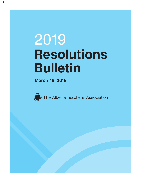# 2019 **Resolutions Bulletin**

**March 19, 2019**



 $\frac{1}{2}$ 

The Alberta Teachers' Association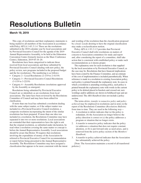# **Resolutions Bulletin**

#### **March 19, 2019**

This copy of resolutions and their explanatory statements is being mailed to all members of the Association in accordance with Policy AP.I.A.1-4/1.3.1.4. These are the resolutions submitted in the 2018 calendar year by local associations and by Provincial Executive Council for the agenda of the 2019 Annual Representative Assembly, to be held at the Edmonton Convention Centre (formerly known as the Shaw Conference Centre), Edmonton, 2019 05 18–20.

Resolutions have been categorized to indicate those received from local associations and those submitted by Provincial Executive Council (dealing with new policy, the policy review, new programs included in the proposed budget and the fee resolutions). The numbering is as follows:

- Category 2—Local Resolutions (2-1/19 to 2-41/19)
- Category 3—Provincial Executive Council Resolutions (3-1/19 to 3-22/19)
- Category 4—Assembly Resolutions (resolutions approved by the Assembly as emergent)

Resolutions being submitted by Provincial Executive Council are so identified, as are resolutions from local associations. The latter have been reviewed by the Resolutions Committee of Council and may have been edited for clarification.

If more than one local has submitted a resolution dealing with the same subject matter, or if the subject matter was included in a Provincial Executive Council resolution, a composite resolution incorporating the intent of the similar resolutions has been prepared. If more than one idea was included in a resolution, the Resolutions Committee may have separated it into two or more resolutions. Local associations are reminded that their representatives have the right to ask that the original resolution, as submitted under declaration, be read when a resolution covering the same matter or concept is before the Annual Representative Assembly. Local associations should be aware that Bylaw 30 requires that resolutions involving the expenditure of money of the Association be referred to Provincial Executive Council for recommendation or report before being presented to the Annual Representative Assembly. The Resolutions Committee may have assigned a classification that appears to be more consistent with the intent

and wording of the resolution than the classification proposed by a local. Locals desiring to have the original classification may make a reclassification motion.

Policy AP.I.A.1-5/1.3.1.5 provides that Provincial Executive Council shall refer resolutions on matters of concern to Association committees for study and report and, after considering the report of a committee, shall take action that is consistent with established policy or make such recommendations as it deems proper.

The explanatory note for each resolution is that supplied by the local association or by Provincial Executive Council, as the case may be. Resolutions that have financial implications have been costed by the Finance Committee, and an estimate of the cost of implementation is included parenthetically. When reference is made in a resolution to existing Association policy, such policy is printed beneath the explanatory note. In cases in which a resolution is amending existing policy, such policy is printed beneath the explanatory note with words in the current policy to be deleted placed in brackets and crossed out; new wordings and/or additions are shown in boldfaced type and are underscored. The *ARA Handbook* does not include a policy section.

The terms *delete*, *transfer to nonactive policy* and *policy achieved* may be employed in resolutions and in notes in the report of the Resolutions Committee (*Resolutions Bulletin*) from time to time. They are used in the following way—

- 1. A resolution to delete indicates that (a) the policy is redundant, (b) the Association no longer believes the policy direction is correct or (c) the policy addresses a program or situation that no longer exists.
- 2. A transfer to nonactive policy indicates that the policy (a) addresses a situation that does not require constant attention, or (b) is put forward only as need arises, and is removed from the active policy section of the *Members' Handbook*.
- 3. A transfer to policy achieved indicates that the Association has substantially achieved the policy.

[Note: The Association maintains a record of all transferred policies.]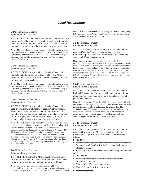#### **2-1/19** (Immediate Directive) Edmonton Public Teachers

BE IT RESOLVED, that the Alberta Teachers' Association urge that all funds held in trust for the benefit of teachers by the Alberta Teachers' Retirement Fund be listed in an easily accessible manner for members on their website on a quarterly basis.

Note—Members should have easy access to this information as it is, to a great extent, their money involved in these funds, through giving or receiving. Members may wish to know about how their money is being invested, be it for ethical or other reasons. This is a simple matter of transparency.

**2-2/19** (Immediate Directive) Edmonton Public Teachers

BE IT RESOLVED, that the Alberta Teachers' Association mandate that all investments or funds held by the Alberta Teachers' Association be listed in an easily accessible location on their website for teachers.

Note—Members should have easy access to this information as it is, to a great extent, their money involved in these funds, through giving or receiving. Members may wish to know about how their money is being invested, be it for ethical or other reasons. This is a simple matter of transparency.

**2-3/19** (Immediate Directive) Edmonton Public Teachers

BE IT RESOLVED, that the Alberta Teachers' Association urge the Government of Alberta to require that the Alberta Health Services recommended routine immunizations, not including the seasonal immunizations, be mandatory, without religious or personal exemptions, for all staff working in K–12 schools and district sites which receive public funds.

Note—It is well documented that outbreaks of preventable diseases are occurring at higher rates across the province. This correlates with the fact that vaccination rates in Alberta have declined below the threshold point for herd immunity of the population. In November 2017, 11 people, students and staff, at an Edmonton public school were quarantined because of a student who had contracted diphtheria. It is unacceptable that students and adults can put others in danger of contracting these diseases. Therefore, we should advocate that the adults working with students are doing all they can to protect against these preventable diseases.

**2-4/19** (Immediate Directive) Edmonton Public Teachers

BE IT RESOLVED, that the Alberta Teachers' Association urge the Government of Canada to immediately ensure clean drinking water is available to all communities in Canada.

Note—Access to clean water is a basic human right. It is unacceptable that every single person in our province and our country does not have access to reliable, clean water. Communities should not

have to worry about whether the water they are about to use is going to be harmful to them. When basic human needs are not being met, educational needs cannot be met either.

#### **2-5/19** (Immediate Directive) Edmonton Public Teachers

BE IT RESOLVED, that the Alberta Teachers' Association urge the Canadian Teachers' Federation to create and implement a plan to advocate for the right to clean drinking water in all Canadian communities.

Note—Access to clean water is a basic human right. It is unacceptable that every single person in our province and our country does not have access to reliable, clean water. Communities should not have to worry about whether the water they are about to use is going to be harmful to them. When basic human needs are not being met, educational needs cannot be met either. To be effective in urging the federal government for clean drinking water, an advocacy plan needs to be created and implemented.

#### **2-6/19** (Immediate Directive) Edmonton Public Teachers

BE IT RESOLVED, that the Alberta Teachers' Association's Political Engagement Committee go into election readiness mode one full school year before an anticipated provincial government election.

Note—In anticipation of a provincial election, the responsibilities of this committee are so great that adequate time must be made available in order to prepare, inform and engage the membership. The Association is 40,000 members strong, and it is imperative to have adequate resources and direction pertaining to advocating for education issues as far in advance as possible to ensure locals can draw on support to assist them in their own efforts.

#### **2-7/19** (Immediate Directive) Edmonton Public Teachers

BE IT RESOLVED, that the Alberta Teachers' Association urge the Government of Alberta to amend the Alberta Certificate of High School Achievement requirements as follows:

#### [5 CREDITS IN

- 30-level Knowledge and Employability occupational course, or
- Advanced level (3000 series) in Career and Technology Studies courses, or
- 30-level locally developed course with an occupational focus AND

5 CREDITS IN

- 30-level Knowledge and Employability Workplace Practicum course, or
- 30-level Work Experience course, or
- 30-level Green Certificate course, or
- Special Projects 30]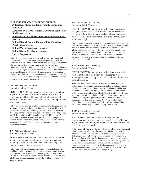#### **10 CREDITS IN ANY COMBINATION FROM**

- **30-level Knowledge and Employability occupational course, or**
- **Advanced level (3000 series) in Career and Technology Studies courses, or**
- **30-level locally developed course with an occupational focus, or**
- **30-level Knowledge and Employability Workplace Practicum course, or**
- **30-level Work Experience course, or**
- **30-level Green Certificate course, or**
- **Special Projects 30**

Note—Students taking one or more high school Knowledge and Employability courses are working towards graduating with the Certificate of High School Achievement. This pathway is for students who are working two to three grade levels below their ageappropriate grade. Earning 125 hours of work experience within one school year is a significant barrier for many students. The requirement for five credits in a practicum, work experience, green project or special project has resulted in an unintentional graduation barrier for students which can be addressed by a 10-credit combination instead of five and five separate categories.

**2-8/19** (Immediate Directive) Edmonton Public Teachers

BE IT RESOLVED, that the Alberta Teachers' Association urge the Government of Alberta to exempt students with English as an additional language (EAL), benchmarked below ESL proficiency level 4, from Grade 6 and 9 provincial achievement tests.

Note—Students acquiring English as an additional language receive instructional programming focused on language acquisition with adapted or modified programming towards curriculum outcomes depending on their English language proficiency: level 1 beginning, level 2 developing, level 3 expanding, level 4 bridging, level 5 extending. Provincial achievement tests are not an appropriate measure for students whose programming is focused on acquiring a language as the results do not accurately reflect the purpose of assessment standards.

#### **2-9/19** (Immediate Directive) Edmonton Public Teachers

BE IT RESOLVED, that the Alberta Teachers' Association urge the Government of Alberta to change the practice of assigning a score of zero to students who are exempt from writing provincial achievement tests.

Note—Currently school authorities prefer to have students, who would otherwise be exempt, attempt to write these exams to avoid an automatic score of zero which reflects poorly on their school. This practice puts undue pressure on the students, does not provide reliable and accurate data and reduces the validity that the exam purports to have.

**2-10/19** (Immediate Directive) Edmonton Public Teachers

BE IT RESOLVED, that the Alberta Teachers' Association designate an executive staff officer in Member Services to be specifically trained to assist teachers who are facing, or have faced, discrimination based on cultural identity, gender identity or religion.

Note—In order to create an inclusive environment where all teachers feel safe and supported, it is important for the Association to provide access to people who are properly trained in this area to be able to advise and support members if they are facing discrimination in their workplace. The training should be specific in how to address discrimination as situations that deal with discrimination are inherently very sensitive and cannot be approached or advised on in a general capacity.

#### **2-11/19** (Immediate Directive) Edmonton Public Teachers

BE IT RESOLVED, that the Alberta Teachers' Association include in the list of all matters to be bargained clauses allowing teachers to take paid leave to celebrate religious and cultural holidays.

Note—As our teaching profession becomes more diverse and inclusive, it is important to recognize the holidays and celebrations of different cultural and religious groups. Teachers should be able to celebrate their religion, heritage and/or culture without penalty of loss of pay. Currently many school authorities allow for religious holidays; however, major holidays within certain cultures are not supported by major religious organizations and therefore may not be recognized. (For example, Lunar New Year is celebrated by 1.74 billion people around the world; it is not a religious holiday but is considered a major cultural holiday and tradition.)

**2-12/19** (Immediate Directive) Edmonton Public Teachers

BE IT RESOLVED, that Member Services provide representation to teachers in meetings with central office on any matter related to bullying or harassment, whether they are the victim or the accused.

Note—Currently teachers who are victims of bullying and harassment by colleagues are often forced to continue to interact with these teachers. Currently teachers are left to attend meetings with senior district personnel without the benefit or support of representation. They are asked to advocate for themselves in a situation where they are often vulnerable and at risk. These are stressful meetings and they should have Association representation. There can be serious consequences to mental health which impacts the use of sick leave and extended disability and can result in premature departure from the profession and the victim did nothing wrong.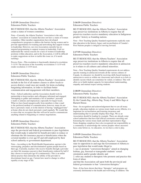**2-13/19** (Immediate Directive) Edmonton Public Teachers

BE IT RESOLVED, that the Alberta Teachers' Association create a status of women committee.

Note—Currently, the Alberta Teachers' Association is the only teachers' association in Canada that does not have a status of women committee. Other member organizations have developed comprehensive programs to address the barriers facing women and to provide opportunities for training and networking that support women in leadership. However, our own Association currently has no targeted programming to support women in leadership. Until we understand the various reasons for a lack of women in leadership positions within education, and in the Association, it will be difficult to make suggestions on how to tackle this issue (or, if it needs tackling).

Process Note—This resolution is functionally identical to resolution 3-11/19. The decision of the Assembly on resolution 3-11/19 will render resolution 2-13/19 moot.

#### **2-14/19** (Immediate Directive) Edmonton Public Teachers

BE IT RESOLVED, that the Alberta Teachers' Association include in the list of all matters clauses to allow locals to access district e-mail once per month, for items excluding bargaining information, in order to facilitate better communication and engagement with their members.

Note—School authorities and the Association should work in partnership to keep teachers and colleagues informed and engaged. Attempting to gather and maintain a list of members' personal e-mails is arduous and impractical, especially for larger locals. What we have heard unequivocally from members is that e-mail is the preferred method of communication; however, many do not have a personal e-mail, or in the interest of having "unplugged time" at home often do not check personal e-mail regularly. We would like to stress that we recognize that this will not be used to communicate anything related to bargaining or contract negotiations.

#### **2-15/19** (Immediate Directive) Edmonton Public Teachers

BE IT RESOLVED, that the Alberta Teachers' Association urge the provincial and federal governments to pass legislation that would make it unlawful for benefit providers to reduce or eliminate the life insurance payout to beneficiaries when the covered member is over age 65 and still employed by their school authority or government department.

Note—According to the World Health Organization, ageism is the stereotyping, prejudice and discrimination against people based on their age. Currently, teachers who receive benefits through a provider see their life insurance payout to their beneficiaries reduced by half if they choose to teach past age 65 (continuously). This is an unfair labour practice that entrenches the ability of the provider to discriminate based on age. Current laws need to change to reflect equality at any stage of life.

**2-16/19** (Immediate Directive) Edmonton Public Teachers

BE IT RESOLVED, that the Alberta Teachers' Association urge preservice institutions in Alberta to require that all preservice teachers receive mandatory education in Indigenous peoples' history as founding nations.

Note—New Teaching Quality Standard requirements explicitly state that education in the history, legacy and reconciliation of Canada's First Nations peoples is integral to moving forward.

**2-17/19** (Immediate Directive) Edmonton Public Teachers

BE IT RESOLVED, that the Alberta Teachers' Association urge preservice institutions in Alberta to require that all preservice teachers receive mandatory education in antiracism as it relates to all cultures and cultural minorities.

Note—New Teaching Quality Standard requirements do not address specific training in antiracism towards all the various cultures of Canada. As educators we should be receiving skills-based training in antiracism to assist us within our classrooms and schools as to how to identify racism which can sometimes be veiled, or indirect. This will allow us to build student capacity for intercultural understanding, empathy and mutual respect among students.

#### **2-18/19** (Immediate Directive)

Edmonton Public Teachers

BE IT RESOLVED, that the Alberta Teachers' Association fly the Canada flag, Alberta flag, Treaty 6 and Métis flags at Barnett House.

Note—In recognition and acknowledgement that we are all treaty people, educating students on various treaty lands across Alberta, it is important for reconciliation and fostering awareness and understanding that we proudly display these flags. We as an Association should be leading by example. There are already some school authorities that have had official ceremonies unveiling and honouring the various treaty lands and their representative flags. Some shopping complexes have also recognized our responsibility as a community to acknowledge the various peoples whose ancestors have come before us. As educators, we too have a role to play.

**2-19/19** (Immediate Directive) Edmonton Public Teachers

BE IT RESOLVED, that the Alberta Teachers' Association state its opposition to and urge the Government of Alberta to pass legislation that would make illegal to

1. use or promote "conversion therapies" aimed at changing lesbian, gay, bisexual or transgender students' sexual orientation and/or gender identity and

2. refer any student to therapists who promote and practice this form of abuse

and that the Association call upon both the provincial and federal governments to ban "conversion therapies."

Note—It has been shown that these "therapies" and programs are extremely detrimental to the health and well-being of children. The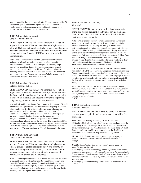trauma caused by these therapies is irrefutable and immeasurable. We affirm the rights of all students regardless of sexual orientation, gender identity and gender expression and therefore must stand against this form of abuse and dehumanization.

**2-20/19** (Immediate Directive) Calgary Separate School

BE IT RESOLVED, that the Alberta Teachers' Association urge the Province of Alberta to amend current legislation to allow all Catholic and faith-based schools and school boards to name and determine the means with which they form inclusive communities, based on the LIFE Framework for Inclusive Communities.

Note—The LIFE framework used by Catholic school boards is inclusive of all students and serves as an excellent model for faith-based community schools with regards to student groups. Current provincial legislation does not represent the wishes of teachers, parents and students inside of a faith-based school by imposing a secular approach to this unique subject. This document has been the working framework for many Catholic school boards and has been accepted by Alberta Education.

#### **2-21/19** (Immediate Directive)

Calgary Separate School

BE IT RESOLVED, that the Alberta Teachers' Association urge Alberta Education and school boards, in alignment with the Truth and Reconciliation Commission report action point 8, to adopt an intensive and directed approach to improving Indigenous graduation rates across the province.

Note—Truth and Reconciliation Commission action point 8: "We call upon the federal government to eliminate the discrepancy in federal education funding for First Nations children being educated on reserves and those First Nations children being educated off reserves." The Calgary Catholic School District has developed an intensive approach that has demonstrated results within our Indigenous student body. This is an approach that could be championed and adopted across the province. The percentage of First Nations, Métis and Inuit students within the Calgary Catholic School District who complete high school has risen dramatically over the past few years. The rate has improved by 41.5 per cent in six years.

#### **2-22/19** (Immediate Directive) Calgary Separate School

BE IT RESOLVED, that the Alberta Teachers' Association urge the Province of Alberta to amend current legislation on student groups to protect the rights, safety and security of teachers with regards to disclosures, accusations and conflict between teachers involved in gay–straight alliances and parents, school boards and the province.

Note—Current legislation does little to protect teachers who are placed in untenable positions where they may be forced to lie, deceive and conceal information from parents. Current legislation leaves teachers open to accusation of impropriety or worse. Current legislation could create conflicts between parents and teachers, eroding the trust that is necessary to ensure a good education for the child.

#### **2-23/19** (Immediate Directive) Westwind

BE IT RESOLVED, that the Alberta Teachers' Association affirm and respect the right of individual parents to exclude their children from participation in instructional activities relating to human sexuality.

Note—While teachers support providing appropriate instruction about human sexuality within the curriculum, ignoring entirely parental preferences and denying the ability to undertake this instruction themselves (rather than through the school) intrudes into the parent/child relationship and fails to respect deeply held moral and religious beliefs of those who regard this issue as a matter of conscience. Refusing parents the ability to recuse their children from human sexuality instruction alienates these parents and may ultimately lead them to abandon public education, resulting in their children being denied the advantages of being schooled in an environment that is respectful of diverse beliefs.

Process Note—The local recognizes that this resolution is at odds with policy 1.B.25/2.4.0.4. Given the unique circumstances resulting from the adoption of the outcome of policy review, and on the advice of staff, the local has not included in its resolution language explicitly repealing the existing policy; however, this is implicit. If adopted by the Assembly, this policy resolution would supersede the existing policy.

*2.4.0.4 Be it resolved that the Association urge the Government of Alberta to amend section 50.1(1) of the* School Act *to mandate that all K–12 students, without exception, who attend schools that receive public funding complete the human sexuality component of the relevant program of studies. [2018]*

#### **2-24/19** (Immediate Directive) Parkland Teachers'

BE IT RESOLVED, that the Alberta Teachers' Association promote gender equity in underrepresented areas within the profession.

Note—Shadows existing policies (18.B.5/19.2.11.2 and 18.B.6/19.2.11.3) which urge school boards across Alberta to do the same thing. To our knowledge, we do not believe that there is any policy that encourages the ATA to promote the same thing. We think that this resolution would give the Association the flexibility to promote such endeavours as they arise and as they see fit.

*19.2.11.2 School authorities should promote gender equity in positions where underrepresentation has been identified. [1990]*

#### *19.2.11.3 School authorities should promote gender equity in administrative positions by*

*1. developing and communicating promotion policies ensuring that employees, regardless of gender, are selected using the same criteria, 2. developing and implementing leadership programs that assist and encourage potential leaders to aspire to administrative positions at all levels and*

*3. developing and implementing programs that eliminate barriers. [1990]*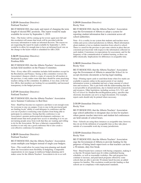#### **2-25/19** (Immediate Directive) Parkland Teachers'

BE IT RESOLVED, that study and report of changing the term length of elected PEC positions. This report would be made available for review by September 1, 2019.

Note—The bylaw will be coming up for review again next fall and this resolution will ensure that locals will be provided with the necessary information to make an informed decision. The reason we are requesting the report be made available by September 1, 2019, would be to allow for enough time to have an informed local vote on the change to the bylaw which is scheduled for ARA 2020.

**2-26/19** (Immediate Directive) Parkland Teachers' Pembina Hills

BE IT RESOLVED, that the Alberta Teachers' Association include field members on the Finance Committee.

Note—Every other ATA committee includes field members except for the Resolutions and Finance. Seeing as this committee oversees the Association's finances which is a topic of concern for all teachers in the province, it only makes sense that there should be some practising teachers sitting on this committee. In addition, it was clear, at the last few ARAs, that members are looking for accountability and increased transparency in the budget processes.

**2-27/19** (Immediate Directive) Parkland Teachers'

BE IT RESOLVED, that the Alberta Teachers' Association move Summer Conference to Red Deer.

Note—Banff has become too expensive and there is not enough room for everyone to stay on campus. Costs to stay in the provincial park are limiting locals' ability to send delegates to conference and the cost out of pocket is restricting some teachers from being able to participate in conference. Seeing that this conference is our Association's premier professional development conference, we should ensure that more people have access to attending it so we are not turning people away from work that they are wanting and willing to do for the Association. We have a fiduciary responsibility to teachers to not only run a good conference but to also create a cost-effective conference for members.

**2-28/19** (Immediate Directive) Parkland Teachers'

BE IT RESOLVED, that the Alberta Teachers' Association create multiple-year budgets instead of single-year budgets.

Note—This would allow for easier long-term planning and should allow the Association more flexibility in budgeting. Comparable organizations in size engage in multiyear budget planning and it makes sense for the Alberta Teachers' Association to do so as well.

#### **2-29/19** (Immediate Directive) Rocky View

BE IT RESOLVED, that the Alberta Teachers' Association urge the Government of Alberta to adopt a system for reporting student information that is consistent across all school authorities.

Note—It is a reality in our system that students and teachers move within and across school jurisdictions in Alberta. Much information about students is lost as students transition from school to school. There is a need for the province to put some criteria in place that are consistent provincewide with respect to the information collected on each student. Consistency in expectations for assessment, and for the frequency of the communication of student learning, as these can differ drastically. Implications for differences in assignable time.

#### **2-30/19** (Immediate Directive) Rocky View

BE IT RESOLVED, that the Alberta Teachers' Association urge the Government of Alberta to amend the *School Act* to accept electronic documents as having legal standing.

Note—Printing report cards to send them home when live marks are available to parents online in the parent portal of our student information system is redundant and uses a large amount of school time and resources. This is put forth with the understanding that this is not possible in all jurisdictions, due to limited network connectivity and resources. Other legislation, including sections 2(1), 5(2), and 8(2) of *School Act* Student Record Regulation policy, specifies that electronic documents can serve as legal documents. For example, report cards should only be printed where necessary.

#### **2-31/19** (Immediate Directive) Rocky View

BE IT RESOLVED, that the Alberta Teachers' Association urge school authorities to designate days in lieu for teachers where parent–teacher interviews and student-led conferences are held outside of school hours.

Note—Schools are using these instances as assignable time; however, they do not fit the definition of assignable time as they take place outside of a reasonable work day in many jurisdictions.

#### **2-32/19** (Immediate Directive) Rocky View

BE IT RESOLVED, that the Alberta Teachers' Association urge the Government of Alberta to provide funding for the purposes of hiring lunch supervisors so that teachers can have a 30-minute, duty-free break.

Note—Rural boards have contracts with busing companies, making it so that the 30-minute lunch must fit within established busing schedules, as well as reasonable workdays. Bus and program fees continue to increase, and paid lunch programs offered by some schools that are able to provide 30-minute lunch become an added expense for families. This resolution would provide funding so that schools are in compliance with employment standards.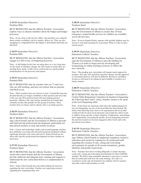#### **2-33/19** (Immediate Directive) Pembina Hills

BE IT RESOLVED, that the Alberta Teachers' Association explore ways to educate members about the budget and budget processes.

Note—It was clear, at the last few ARAs, that members are confused about certain vocabulary, such as surplus, deficit, etc. They are also struggling to comprehend how the budget is determined and funds are allocated.

#### **2-34/19** (Immediate Directive) Pembina Hills

BE IT RESOLVED, that the Alberta Teachers' Association engage in a full review of budgeting processes.

Note—A full budget review has not taken place in a very long time. As the needs of members change, the ATA needs to ensure they are meeting those needs. A full review could result in a much-needed modernization of our processes and reports.

#### **2-35/19** (Immediate Directive) Pembina Hills

BE IT RESOLVED, that for teachers who are 71 and over, who are still teaching, and have not retired, that no pension clawback occur.

Note—These teachers have not chosen to retire. Canada Revenue has decided that they no longer contribute to their pension and since that is the case, the ATA pension board will start making pension payments. Alberta is the only teacher jurisdiction in Canada that currently invokes this penalty for this group of teachers. Since teachers have no choice and no options, this is an unfair practice.

#### **2-36/19** (Immediate Directive) Northern Spirit

BE IT RESOLVED, that the Alberta Teachers' Association urge school boards and the Government of Alberta to provide and fund relevant professional development, particularly for specialized teachers in rural and remote locations.

Note—Career and technology studies and second language teachers have difficulty accessing relevant professional development without significant personal costs (time and travel). School boards do not often offer specific professional development for these teachers in rural areas.

#### **2-37/19** (Immediate Directive) Northern Spirit

BE IT RESOLVED, that the Alberta Teachers' Association ensure that school boards and the Government of Alberta provide sufficient and adequate time, training and support to understand the new curriculum before it is implemented in schools.

Note—Some school boards have provided nothing for inservice regarding the new curriculum. Teachers are expressing concern regarding how unprepared they feel.

#### **2-38/19** (Immediate Directive) Northern Spirit

BE IT RESOLVED, that the Alberta Teachers' Association urge the Government of Alberta to ensure that 24-hour emergency mental health services for children are available across the province.

Note—Even in Grande Prairie, parents with suicidal children may be forced to wait until morning for assessment. What is it like in more remote areas?

**2-39/19** (Immediate Directive) Edmonton Catholic Teachers

BE IT RESOLVED, that the Alberta Teachers' Association urge the Government of Alberta to provide funding for 2Learn.ca in order to begin actively developing and reorganizing its online teaching resources to reflect the new curricula.

Note—The pending new curriculum will require much support for teachers. Not only will curricular outcomes change, but the approach to curriculum delivery will also be different. Resources including 2Learn.ca will need to be enhanced and available to teachers in a timely manner.

**2-40/19** (Immediate Directive) Edmonton Catholic Teachers

BE IT RESOLVED, that the Alberta Teachers' Association's Central Table Bargaining Committee be limited to bargaining the following three items: salary, benefits, money to be spent at the local bargaining table.

Note—It has been our experience that since the implementation of two-tier bargaining, success at the local table has been limited. We believe that allowing more items to be negotiated at the local table would provide for more local autonomy and would also allow locals to address issues specific to their situations. Furthermore, and perhaps more importantly, increasing the profile of local bargaining increases the need for teachers to become engaged in their locals and in the provincial Association.

#### **2-41/19** (Immediate Directive) Edmonton Catholic Teachers

BE IT RESOLVED, that the Alberta Teachers' Association urge Alberta school boards to implement mandatory inclusive education and sensitivity training for all certificated staff regarding the creation of safe, caring and welcoming environments for people of all sexual orientations, gender identities and gender expressions.

Note—Teachers have been working diligently to ensure that they create safe, caring and welcoming environments for their LGBTQ+ students. We believe that mandated education is necessary to ensure that all certificated staff have the same training. Not only is it essential to create safe environments for students, but for teachers and other school staff members as well.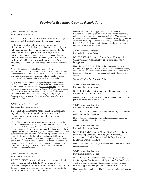# *Provincial Executive Council Resolutions*

#### **3-1/19** (Immediate Directive) Provincial Executive Council

BE IT RESOLVED, that item 9 of the Declaration of Rights and Responsibilities for Teachers be amended to read—

"9 Teachers have the right to be protected against discrimination on the basis of prejudice as to race, religious beliefs, colour, gender, sexual orientation, gender identity, gender expression, physical characteristics, disability, marital status, family status, age, ancestry, place of origin, place of residence, socioeconomic background or linguistic background and have the responsibility to refrain from practising these forms of discrimination in their professional duties."

Note—The amendment to the Declaration of Rights and Responsibilities for Teachers should have occurred at the same time as the amendment to the Code of Professional Conduct but was an oversight. The amendment brings the declaration in line with the code, the *Alberta Human Rights Act* and Association policy.

*9 Teachers have the right to be protected against discrimination on the basis of prejudice as to race, religious beliefs, colour, gender, sexual orientation, gender identity, gender expression, physical characteristics, disability, marital status, family status, age, ancestry, place of origin, place of residence, socioeconomic background or linguistic background and have the responsibility to refrain from [practicing] practising these forms of discrimination in their professional duties.*

#### **3-2/19** (Immediate Directive) Provincial Executive Council

BE IT RESOLVED, that the Alberta Teachers' Association urge Alberta Education to maintain the requirement for a social studies Grade 12 level course for high school graduation.

Note—The rationale for social studies education is to provide the opportunity to develop the knowledge, skills and attitudes that will enable students to be engaged citizens. Across Canada we are seeing a move away from these values of informed decision making in favor of post-truth attitudes. Currently populist attitudes not only in Canada but around the world desire to limit student exposure to controversial issues that is essential for the ability to be informed citizens. In addition, many provinces in Canada do not require a Grade 12-level social studies course. We want to ensure that students in Alberta are required to take a 30-level social studies course for graduation in order to achieve our goal of enabling students to have educated opinions as engaged citizens.

#### **3-3/19** (Immediate Directive) Provincial Executive Council

BE IT RESOLVED, that the administrative and educational policy contained in the 2018/19 *Members' Handbook* be repealed and replaced with the Administrative and Educational Policy of the Alberta Teachers' Association submitted to the 2019 Annual Representative Assembly.

Note—Resolution 2-6/16, approved by the 2016 Annual Representative Assembly, called on the Association to modernize, rationalize and consolidate its accumulated policy. The resolution further directed that outdated policies be deleted, overlapping policies consolidated and all policies edited for clarity and ease of reading. Policy AP.II.1/1.4.3.1 provides for the product of that resolution to be presented to the 2019 Assembly.

**3-4/19** (Immediate Directive) Provincial Executive Council

BE IT RESOLVED, that the Standards for Writing and Classifying ATA Administrative and Educational Policy be approved.

Note—Policy AP.II.2/1.4.3.2 directs the Association to develop and submit for the approval of the 2019 Annual Representative Assembly standards for Association policy, including subject headings, policy types, standard definitions of terms, and statements of the purpose of policy.

See page 11 of the *Resolutions Bulletin*.

**3-5/19** (Immediate Directive) Provincial Executive Council

BE IT RESOLVED, that students in public education be free from commercial exploitation.

Note—This is a fundamental belief of the Association, supported by policy on school–community relations.

**3-6/19** (Immediate Directive) Provincial Executive Council

BE IT RESOLVED, that parents and community are essential partners in public education.

Note—This is a fundamental belief of the Association, supported by policy on school–community relations.

**3-7/19** (Immediate Directive) Provincial Executive Council

BE IT RESOLVED, that the Alberta Teachers' Association adopt and implement the Teaching Quality Standard, the Leadership Quality Standard and the Superintendent Leadership Quality Standard.

Note—This policy acknowledges the enactment of new professional practice standards.

**3-8/19** (Immediate Directive) Provincial Executive Council

BE IT RESOLVED, that the terms *Teaching Quality Standard*, *Leadership Quality Standard* and *Superintendent Leadership Quality Standard* be inserted into all Association policies referencing professional practice standards as appropriate.

Note—Association policy should reflect the new professional practice standards.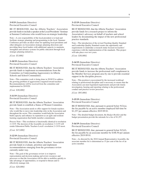#### **3-9/19** (Immediate Directive) Provincial Executive Council

BE IT RESOLVED, that the Alberta Teachers' Association provide funds to include a speaker at the Local Presidents' Seminar at Summer Conference who would focus on strategic leadership.

Note—A core responsibility of the local president is to lead and facilitate strategic planning and programming in the local. Summer Conference provides an ideal venue for updating local presidents and other delegates on Association strategic planning directions and providing these local leaders with additional capacity to maintain, strengthen and advance systems for public education through local strategic planning initiatives.

*[Cost: \$5,000]*

**3-10/19** (Immediate Directive) Provincial Executive Council

BE IT RESOLVED, that the Alberta Teachers' Association provide funds to implement recommendations from the Committee on Understanding Aggression(s) in Alberta Schools and School Communities.

Note—This committee work is being done in 2018/19 to address the growing problem of aggression(s) targeted toward teachers. Recommendations will be received from the committee and implemented in 2019/20.

*[Cost: \$30,000]*

**3-11/19** (Immediate Directive) Provincial Executive Council

BE IT RESOLVED, that the Alberta Teachers' Association provide funds to establish a Status of Women Committee.

Note—The Association needs to offer support for female teachers who would like to move into leadership roles in the Association and throughout the sector. This committee would help the Association build capacity and enhance its reputation as an agile and resilient learning organization that builds member commitment.

Process Note—This resolution is functionally identical to resolution 2-13/19. The decision of the Assembly on resolution 3-11/19 will render Edmonton Public Teachers Local's resolution 2-13/19 moot.

*[Cost: \$15,000]*

**3-12/19** (Immediate Directive) Provincial Executive Council

BE IT RESOLVED, that the Alberta Teachers' Association provide funds to evaluate, prioritize and implement recommendations emerging from the governance review currently under way.

Note—The goal of the governance review is to improve representation and decision making and review resources and processes so that the Association will be able to mobilize quickly to take advantage of opportunities, to respond to threats and to effectively manage risk.

*[Cost: \$20,000]*

**3-13/19** (Immediate Directive) Provincial Executive Council

BE IT RESOLVED, that the Alberta Teachers' Association provide funds for a research project to inform the Association's advocacy on behalf of teachers and school leaders by documenting the impact of the new professional practice standards.

Note—The introduction of the revised Teaching Quality Standard and Leadership Quality Standard creates the opportunity and requirements to undertake a research study focused on teachers' experience with the implementation of the standards. This project will take place over two years.

*[Cost: \$30,000]*

**3-14/19** (Immediate Directive) Provincial Executive Council

BE IT RESOLVED, that the Alberta Teachers' Association provide funds to increase the professional staff complement in the Member Services program area by one to provide essential support in the discipline process.

Note—This position is necessitated by the increased workload relating to professional discipline and is necessary to ensure that the Association can meet legislated requirements and provide timely investigation, hearing and reporting relating to the professional conduct and practice review processes.

*[Cost: \$95,000]*

**3-15/19** (Immediate Directive) Provincial Executive Council

BE IT RESOLVED, that, pursuant to general bylaw 9(2)(a), the fee payable by an active member employed full-time be \$1,257 per annum effective 2019 09 01.

Note—The detailed budget document, the *Budget Booklet* and the budget presentation provide the rationale for a fee of \$1,257.

**3-16/19** (Immediate Directive) Provincial Executive Council

BE IT RESOLVED, that, pursuant to general bylaw 9(2)(f), the fee payable by an associate member be \$188.50 per annum effective 2019 09 01.

Note—As directed by the 2010 Annual Representative Assembly, the associate member fee is determined as 15 per cent of the fee of an active member.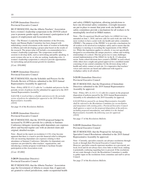#### **3-17/19** (Immediate Directive) Provincial Executive Council

BE IT RESOLVED, that the Alberta Teachers' Association host a women's leadership symposium in the 2019/20 school year to promote gender equity and women's participation in all aspects of employment and Association life.

Note—The Women's Leadership Subcommittee of the Diversity, Equity and Human Rights Committee has been charged with undertaking a needs assessment on the status of women in leadership in Alberta and with developing a project plan based on the results of the research. The project plan will include a recommendation for a women's leadership symposium. The symposium would offer sessions to develop skills, such as networking and public speaking, to assist women who are in, or who are seeking, leadership roles. A women's leadership symposium is critical to provide opportunities for networking and professional growth for members.

*[Cost: \$50,000]*

**3-18/19** (Immediate Directive) Provincial Executive Council

BE IT RESOLVED, that the Schedule and Process for the Periodic Review of Policies submitted to the 2019 Annual Representative Assembly be approved.

Note—Policy AP.II.3/1.4.3.3 calls for "a schedule and process for the periodic review of policies [to] be submitted for approval to the 2019 Annual Representative Assembly."

*1.4.3.3 Be it resolved that a schedule and process for the periodic review of policies be submitted for approval to the 2019 Annual Representative Assembly. [2018]*

See page 16 of the *Resolutions Bulletin*.

#### **3-19/19** (Immediate Directive) Provincial Executive Council

BE IT RESOLVED, that the 2019/20 proposed budget be increased by \$5,000 to provide for a subsidy to Summer Conference delegates incurring adult dependant-care expenses above and beyond regular care with an attested claim and original, detailed receipts.

Note—Based on the report on resolution 4-1/18, it has become apparent that there is a need to provide financial relief to delegates who are incurring dependant-care expenses relating to their attendance at Summer Conference. Subsidies for dependant-care expenses are provided by other teachers' organizations, and introducing a similar program would help to facilitate broader participation at this Association event.

*[Cost: \$5,000]*

**3-20/19** (Immediate Directive) Provincial Executive Council

BE IT RESOLVED, that the Alberta Teachers' Association urge the Government of Alberta to ensure that, if approvals are granted to school jurisdictions, under occupational health and safety (OH&S) legislation, allowing jurisdictions to have one divisional safety committee, oversight measures are put in place to ensure that joint work site health and safety committees provide a mechanism for all workers to be meaningfully involved in OH&S matters.

Note—The *Occupational Health and Safety Act* (*OH&S Act*) was amended on June 1, 2018, and now calls for each work site with 20 or more workers to have a joint work site health and safety committee (JWHSC). The purpose of the JWHSC is to provide a mechanism for all workers to be involved in workplace safety and to ensure that the workplace is meeting or exceeding the requirements of the *OH&S Act*. While this legislation applies to schools, it was not specifically designed to accommodate the unique practices, culture and working relationships of a school. This has given rise to some challenges around implementation of the *OH&S Act* in the K–12 education sector. Some school divisions have created a JWHSC in each school, while others have sought and gained approval for a modified model consisting of one central committee for the division along with a health and safety contact at each site. It is imperative that teachers' voices and concerns are heard and addressed with regard to workplace safety in all schools.

#### **3-21/19** (Immediate Directive) Provincial Executive Council

BE IT RESOLVED, that the Disposition of Immediate Directives submitted to the 2019 Annual Representative Assembly be approved.

Note—Policy AP.1.A.11/1.3.1.12 calls for a report on the proposed disposition of policies passed by the 2018 Annual Representative Assembly to be submitted to the 2019 Assembly for approval.

*1.3.1.12 Policies passed by an Annual Representative Assembly shall be referred to the Resolutions Committee for reconciliation and integration with existing policy. Provincial Executive Council shall approve a report on the proposed disposition of the policies, including proposed amendments, and submit it to the Annual Representative Assembly the following year for approval. [2018]*

See page 17 of the *Resolutions Bulletin*.

**3-22/19** (Immediate Directive) Provincial Executive Council

BE IT RESOLVED, that the Proposal for Advancing Specialist Council Resolutions submitted to the 2019 Annual Representative Assembly be approved.

Note—Currently, specialist councils can advance resolutions through locals or through their Provincial Executive Council liaison. However, specialist councils represent members on a provincial, not local, level and do not always have close links to their local, making it potentially confusing regarding how to proceed. If the resolutions do not come through a local, the Resolutions Committee is unable to gather input on the resolutions from committee and staff to advise Council.

See page 27 of the *Resolutions Bulletin*.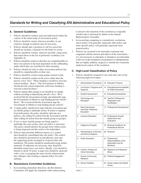# *Standards for Writing and Classifying ATA Administrative and Educational Policy*

#### **A. General Guidelines**

- 1. Policies should be written, read and understood within the context of the entire body of Association policy.
- 2. Policies should be stated, wherever possible, in one sentence, though exceptions may be necessary.
- 3. Policies should state a position or call for action but should not include a rationale for the belief or action.
- 4. Policies should be written, wherever possible, using terms that match those in the list of preferred vocabulary (see Appendix A).
- 5. Policies should be written so that they are comprehensible on their own and not in the least dependent on the subheading under which they are classified for their meaning.
- 6. Policies should not refer to other Association policies but should be comprehensible on their own.
- 7. Policies should be written using gender-neutral words.
- 8. Policies should be written in the active rather than the passive voice: *Poor*: "More funding is needed to renovate school facilities." *Better*: "The Government of Alberta should provide school authorities with more funding to renovate school facilities."
- 9. Policies urging other groups to act should do so simply, without resorting to intensifying adverbs: *Poor*: "Be it resolved that the Association strongly and adamantly urge the Government of Alberta to stop funding private schools." *Better*: "Be it resolved that the Association urge the Government of Alberta to stop funding private schools."
- 10. A single policy should never urge both the Association and an outside group to undertake action. If action is required from both parties, the policy should be split into two policies, one calling for action from the Association and the other calling for action from the outside group (or groups).
- 11. If two or more outside groups are being urged to undertake the *same* action, only one policy is necessary. The policy should identify the groups from which action is being requested and the action to be undertaken.
- 12. Policies that articulate different aspects of a central idea should be consolidated into one policy. The central idea should be presented in an introductory stem and the supporting points arranged in a logical order and numbered. The points should be enumerated using Arabic numerals. If subpoints are necessary, they should be identified using lower case letters. Ideally, a list should be limited to about 10 items. Longer lists should be analyzed with a view to grouping the most closely related points into subtopics and creating a separate policy for each subtopic.

#### **B. Resolutions Committee Guidelines**

1. In reconciling immediate directives, the Resolutions Committee will apply the standards while endeavouring to preserve the intention of the resolution as originally worded and as informed by debate at the Annual Representative Assembly.

- 2. In reconciling competing or contradictory resolutions, newer policy will generally supersede older policy and more specific policy will generally supersede more general policy.
- 3. Policies are assumed to be internally consistent and congruent with the mission and objects of the Association it is not necessary to anticipate or attempt to accommodate in the text of the resolutions circumstances or interpretations that are highly unlikely, atypical or outside the commonly understood context of the resolution.

#### **C. High-Level Classification of Policy**

1. Policies should be assigned to one (and only one) of the following high-level topics:

| 13. Education Finance                                                                |
|--------------------------------------------------------------------------------------|
| 14. Educational Accountability<br>for Public Assurance                               |
| 15. Educational Assistants                                                           |
| 16. Teacher Professional<br>Preparation and<br>Certification                         |
| 17. Professional Development                                                         |
| 18. Professional Growth,<br>Supervision and<br>Evaluation                            |
| 19. Working Conditions for<br>Professional Service                                   |
| 20. Pensions                                                                         |
| 21. Professional<br>Responsibilities of the<br>Association and Its<br><b>Members</b> |
| 22. Research and Research<br><b>Fthics</b>                                           |
| 23. Political Engagement                                                             |
| 24. Social Justice and Global<br><i><b>Issues</b></i>                                |
|                                                                                      |

*Table 1*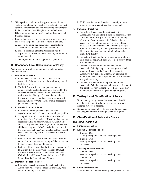- 2. When policies could logically appear in more than one section, they should be placed in the section that is most specific. For example, policies concerning human rights in the curriculum should be placed in the Inclusive Education rather than in the Curriculum, Programs and Supports section.
- 3. Policies that are classified as administrative procedures differ from the policies in other sections in that they
	- a. concern an action that the Annual Representative Assembly has directed the Association to do,
	- b. concern something that the Association has the capacity to do directly without involving others (such as locals) and
	- c. are largely functional as opposed to aspirational.

#### **D. Secondary-Level Classification of Policy**

Within each high-level section, policies should be further classified as follows:

#### **1. Fundamental Beliefs**

- a. Fundamental beliefs are policies that set out the Association's broad, general beliefs with respect to the high-level topic.
- b. The belief or position being expressed in these policies should be stated directly, not prefaced by the observation that the Association believes such and such a position. *Wrong*: "The Association believes that private schools should not receive government funding." *Right*: "Private schools should not receive government funding."

#### **2. Externally Focused Policies**

- a. Externally focused policies urge an outside organization to undertake an action or adopt a position.
- b. Such policies should state that the action "should" rather than "must" take place. "Must" implies that the organization has no choice when, in fact, it usually does. "The government should [not must] implement a child care program." "Must" is valid in cases in which the actor has no choice. "Individuals must [not should] have a valid teaching certificate to teach in Alberta schools."
- c. Policies urging the Government of Canada to act do not need to mention that the urging will be carried out by the Canadian Teachers' Federation.
- d. Policies calling on school authorities to act do not need to mention that the policy will be directed through the Alberta School Boards Association, the Alberta Catholic School Trustees' Association or the Public School Boards' Association of Alberta.

#### **3. Internally Focused Policies**

a. Internally focused policies outline actions that the Association will (or does) undertake internally with respect to the high-level topic.

b. Unlike administrative directives, internally focused policies are more aspirational than functional.

#### **4. Immediate Directives**

- a. Immediate directives outline actions that the Association will undertake in the next operational year. Such policies typically authorize one-time funding allocations from the Association's budget, direct aspects of Association operations or send political messages to outside groups. All completely new (as opposed to amended) policies approved by an Annual Representative Assembly are initially classified as immediate directives.
- b. Immediate directives should be couched as resolutions and, as such, begin with the phrase "Be it resolved that the Association . . ."
- c. Immediate directives that do not concern the Association's budget expire after one year at which point, as directed by the Annual Representative Assembly, they either disappear or are rewritten as belief statements and incorporated into one of the other categories of policy.
- d. Immediate directives with implications for the Association's budget automatically expire at the end of the next fiscal year. In some cases, their content may be incorporated into subsequent budget proposals.

#### **E. Tertiary-Level Classification of Policy**

- 1. If a secondary category contains more than a handful of policies, the policies should be grouped by topic and assigned a subtopic heading.
- 2. Depending on the number of policies in the secondary category, any number of subtopics may be required.

#### **F. Classification of Policy at a Glance**

#### **HIGH-LEVEL TOPIC ONE**

#### **A. Fundamental Beliefs**

#### **B. Externally Focused Policies**

- 1. Subtopic One
	- —long-term policies related to subtopic one
- 2. Subtopic Two
	- —long-term policies related to subtopic two
- 3. As needed . . .

#### **C. Internally Focused Policies**

- 1. Subtopic One
	- —long-term policies related to subtopic one
- 2. Subtopic Two —long-term policies related to subtopic two
- $3.$  As needed  $\dots$

#### **D. Immediate Directives**

—all immediate directives relating to high-level topic one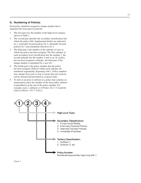#### **G. Numbering of Policies**

Each policy should be assigned a unique number that is separated into four parts by periods:

- 1. The first part uses the number of the high-level category shown in Table 1.
- 2. The second part specifies the secondary classification into which the policy falls: fundamental beliefs are indicated by 1, externally focused policies by 2, internally focused policies by 3 and immediate directives by 4.
- 3. The third part is the number of the subtopic (if any) to which the policy has been assigned. The first subtopic in each secondary level classification has the number 1, the second subtopic has the number 2 and so on. If a policy has not been assigned a subtopic, the third part of the unique number is populated by a zero (0).
- 4. The fourth part is the policy number that the policy has been assigned. Policies within each subtopic are numbered sequentially, beginning with 1. Policy numbers may change from year to year to ensure that new policies can be inserted and presented in a logical order.
- 5. To refer to an item or subitem in a policy that contains an enumeration, place the number of the item and/or subitem in parentheses at the end of the policy number. For example, item 2, subitem (c) of Policy 18.2.7.3 would be cited as follows: 18.2.7.3(2)(c).

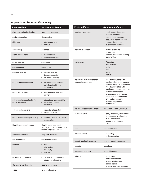### **Appendix A: Preferred Vocabulary**

| <b>Preferred Term</b>                              | <b>Synonymous Terms</b>                                                                |
|----------------------------------------------------|----------------------------------------------------------------------------------------|
| alternative school calendars                       | year-round schooling                                                                   |
| assistant principal                                | vice-principal                                                                         |
| child care                                         | after-school care<br>daycare                                                           |
| counselling                                        | guidance                                                                               |
| digital assessment                                 | e-assessment<br>online assessment                                                      |
| digital learning                                   | e-learning                                                                             |
| discrimination                                     | stereotyping                                                                           |
| distance learning                                  | blended learning<br>٠<br>distance education<br>distributed learning<br>٠               |
| early childhood education                          | early childhood services<br>$\bullet$<br>early learning birth to<br>kindergarten       |
| education partners                                 | education stakeholders<br>partners                                                     |
| educational accountability for<br>public assurance | educational accountability<br>$\bullet$<br>public assurance in<br>education            |
| educational assistant                              | instructional assistant<br>paraprofessional                                            |
| education-business partnership                     | school-business partnership<br>$\bullet$<br>sponsorship<br>$\bullet$                   |
| English language learners                          | English as an additional<br>language students/English as a<br>second language students |
| extended disability                                | long-term disability                                                                   |
| faculty advisors                                   | faculty consultants                                                                    |
| field test                                         | pilot<br>pilot project<br>pilot study<br>pilot test                                    |
| Government of Alberta                              | Department of Education<br>minister of education                                       |
| Government of Canada                               | federal government                                                                     |
| grade                                              | level of education                                                                     |

| <b>Preferred Term</b>                                   | <b>Synonymous Terms</b>                                                                                                                                                                                                                                                                                      |
|---------------------------------------------------------|--------------------------------------------------------------------------------------------------------------------------------------------------------------------------------------------------------------------------------------------------------------------------------------------------------------|
| health care services                                    | health support services<br>medical services<br>mental health services<br>population health services<br>psychiatric services<br>public health services                                                                                                                                                        |
| inclusive classrooms                                    | inclusive learning<br>environment<br>schools as inclusive learning<br>communities                                                                                                                                                                                                                            |
| Indigenous                                              | Aboriginal<br>$\bullet$<br><b>First Nations</b><br>Indian<br>Inuit<br><b>Métis</b><br><b>Native</b>                                                                                                                                                                                                          |
| institutions that offer teacher<br>preparation programs | Alberta institutions with<br>teacher education programs<br>recognized by the Association<br>Alberta universities with<br>teacher preparation programs<br>faculties of education<br>institutions with accredited<br>preservice Alberta teacher<br>preparation programs<br>teacher preparation<br>institutions |
| <b>Interim Professional Certificate</b>                 | Initial Professional Certificate                                                                                                                                                                                                                                                                             |
| K-12 education                                          | early childhood, elementary<br>and secondary education<br>K to 12 education<br>kindergarten through<br>Grade 12                                                                                                                                                                                              |
| local                                                   | local association                                                                                                                                                                                                                                                                                            |
| online learning                                         | e-learning<br>٠<br>online education                                                                                                                                                                                                                                                                          |
| parent-teacher interviews                               | teacher-parent interviews                                                                                                                                                                                                                                                                                    |
| parents                                                 | guardians                                                                                                                                                                                                                                                                                                    |
| preservice teachers                                     | student teachers                                                                                                                                                                                                                                                                                             |
| principal                                               | administrator<br>instructional leader<br>school administrator<br>school leader<br>school-based administrator                                                                                                                                                                                                 |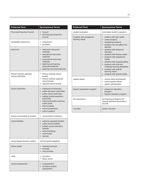| <b>Preferred Term</b>                         | <b>Synonymous Terms</b>                                                                                                                                                                                                                                               |
|-----------------------------------------------|-----------------------------------------------------------------------------------------------------------------------------------------------------------------------------------------------------------------------------------------------------------------------|
| <b>Provincial Executive Council</b>           | Council<br>the Provincial Executive<br>Council                                                                                                                                                                                                                        |
| relocatable classrooms                        | minischools<br>٠<br>portables<br>٠                                                                                                                                                                                                                                    |
| resources                                     | classroom resources/<br>$\bullet$<br>materials<br>educational resources/<br>materials<br>instructional resources/<br>materials<br>teaching and learning<br>$\bullet$<br>resources/materials<br>teaching resources/materials                                           |
| Roman Catholic separate<br>school authorities | Roman Catholic school<br>hoards<br>Roman Catholic separate<br>school boards<br>separate school boards                                                                                                                                                                 |
| school authorities                            | employers [of teachers]<br>$\bullet$<br>public education authorities<br>public school authorities<br>publicly funded education<br>authorities<br>school authorities receiving<br>public funds<br>school boards<br>school jurisdictions<br>school systems<br>$\bullet$ |
| school communities of practice                | communities of practice<br>$\bullet$                                                                                                                                                                                                                                  |
| school facilities                             | authority-operated facilities<br>$\bullet$<br>public school facilities<br>publicly owned education<br>facilities<br>school buildings<br>school sites<br>schools                                                                                                       |
| school-based decision making                  | school-based budgeting                                                                                                                                                                                                                                                |
| school leader                                 | assistant principal<br>$\bullet$<br>principal<br>vice-principal                                                                                                                                                                                                       |
| strike                                        | job action<br>labour action                                                                                                                                                                                                                                           |
| student assessment                            | e-assessment<br>formative student<br>assessment                                                                                                                                                                                                                       |

| <b>Preferred Term</b>                       | <b>Synonymous Terms</b>                                                                                                                                                                                                                                                                                                                                                                                                                   |
|---------------------------------------------|-------------------------------------------------------------------------------------------------------------------------------------------------------------------------------------------------------------------------------------------------------------------------------------------------------------------------------------------------------------------------------------------------------------------------------------------|
| student evaluation                          | summative student evaluation                                                                                                                                                                                                                                                                                                                                                                                                              |
| students with exceptional<br>learning needs | children with high needs<br>$\bullet$<br>coded students<br>exceptional students<br>students who are gifted and<br>talented<br>students with behaviour<br>disorders<br>students with diverse needs<br>students with exceptional<br>needs<br>students with exceptionalities<br>students with mild and<br>$\bullet$<br>moderate learning disabilities<br>students with special<br>learning needs<br>students with special needs<br>$\bullet$ |
| system leader                               | central-office administrator<br>school-system official<br>system administrator                                                                                                                                                                                                                                                                                                                                                            |
| teacher preparation program                 | preservice education<br>$\bullet$<br>program<br>teacher education program                                                                                                                                                                                                                                                                                                                                                                 |
| the Association                             | the teaching profession/the<br>Alberta Teachers' Association/<br>the ATA                                                                                                                                                                                                                                                                                                                                                                  |
| volunteer                                   | parent volunteer                                                                                                                                                                                                                                                                                                                                                                                                                          |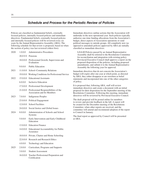## *Schedule and Process for the Periodic Review of Policies*

Policies are classified as fundamental beliefs, externally focused policies, internally focused policies and immediate directives. Fundamental beliefs, externally focused policies and internally focused policies will be reviewed every six years by the Annual Representative Assembly (ARA). The following schedule for that review is proposed, based on when the section of policy was last reviewed (oldest first):

| 2020 | 1.0.0.0  | <b>Administrative Procedures</b>                                           |
|------|----------|----------------------------------------------------------------------------|
|      | 20.000   | Pensions                                                                   |
|      | 18.0.0.0 | Professional Growth, Supervision and<br>Evaluation                         |
|      | 9.0.0.0  | <b>Public Education</b>                                                    |
| 2021 | 11.0.0.0 | School-Community Relations                                                 |
|      | 19.0.0.0 | Working Conditions for Professional Service                                |
| 2022 | 15.0.0.0 | <b>Educational Assistants</b>                                              |
|      | 6.0.0.0  | Inclusive Education                                                        |
|      | 17.0.0.0 | Professional Development                                                   |
|      | 21.0.0.0 | Professional Responsibilities of the<br><b>Association and Its Members</b> |
| 2023 | 7.0.0.0  | <b>Indigenous Peoples</b>                                                  |
|      | 23.0.0.0 | <b>Political Engagement</b>                                                |
|      | 12.0.0.0 | <b>School Facilities</b>                                                   |
|      | 24.0.0.0 | Social Justice and Global Issues                                           |
| 2024 | 8.0.0.0  | Administration of Schools and School<br>Systems                            |
|      | 5.0.0.0  | Early Intervention and Early Childhood<br>Education                        |
|      | 13.0.0.0 | <b>Education Finance</b>                                                   |
|      | 14.0.0.0 | <b>Educational Accountability for Public</b><br>Assurance                  |
|      | 10.0.0.0 | Private, Charter and Home Schooling                                        |
|      | 22.0.0.0 | <b>Research and Research Ethics</b>                                        |
|      | 4.0.0.0  | Technology and Education                                                   |
| 2025 | 2.0.0.0  | Curriculum, Programs and Supports                                          |
|      | 3.0.0.0  | <b>Student Assessment</b>                                                  |
|      | 16.0.0.0 | Teacher Professional Preparation and<br>Certification                      |
|      |          |                                                                            |

Immediate directives outline actions that the Association will undertake in the next operational year. Such policies typically authorize one‐time funding allocations from the Association's budget, direct aspects of Association operations or send political messages to outside groups. All completely new (as opposed to amended) policies approved by ARA are initially classified as immediate directives:

**1.3.1.12** Policies passed by an Annual Representative Assembly shall be referred to the Resolutions Committee for reconciliation and integration with existing policy. Provincial Executive Council shall approve a report on the proposed disposition of the policies, including proposed amendments, and submit it to the Annual Representative Assembly the following year for approval.

Immediate directives that do not concern the Association's budget will expire after one year at which point, as directed by ARA, they either disappear or are rewritten as belief statements and incorporated into one of the other categories of policy.

It is proposed that, following ARA, staff will review immediate directives and create a document with an initial proposal for their disposition for the September meeting of the Resolutions Committee. Following this meeting, immediate directives will be reviewed by Provincial Executive Council.

The draft proposal will be posted online for members to review and provide feedback in the fall. A report will be created for the December meeting of the Resolutions Committee, when other reports are received, and the committee will amend and recommend adoption of the report to Council in January.

The final report as approved by Council will be presented at ARA.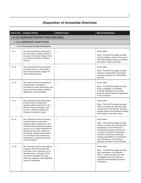# *Disposition of Immediate Directives*

| <b>Policy No</b>                         | <b>Original Policy</b>                                                                                                                                                                                                                                                                                                                                     | <b>Edited Policy</b> | Recommendation                                                                                                                                                                                                                                                                                                                                               |  |
|------------------------------------------|------------------------------------------------------------------------------------------------------------------------------------------------------------------------------------------------------------------------------------------------------------------------------------------------------------------------------------------------------------|----------------------|--------------------------------------------------------------------------------------------------------------------------------------------------------------------------------------------------------------------------------------------------------------------------------------------------------------------------------------------------------------|--|
| <b>1.0.0.0 ADMINISTRATIVE PROCEDURES</b> |                                                                                                                                                                                                                                                                                                                                                            |                      |                                                                                                                                                                                                                                                                                                                                                              |  |
| 1.4.0.0 IMMEDIATE DIRECTIVES             |                                                                                                                                                                                                                                                                                                                                                            |                      |                                                                                                                                                                                                                                                                                                                                                              |  |
|                                          | 1.4.1.0 Association Budget Resolutions                                                                                                                                                                                                                                                                                                                     |                      |                                                                                                                                                                                                                                                                                                                                                              |  |
| 1.4.1.1                                  | Be it resolved that the Association<br>provide funds to initiate a review of<br>the report of the Blue Ribbon Panel<br>on Inclusive Education in Alberta<br>Schools.                                                                                                                                                                                       |                      | Action taken<br>Note-The 2018/19 budget provides<br>funds to initiate a review of the report<br>of the Blue Ribbon Panel on Inclusive<br>Education in Alberta Schools.                                                                                                                                                                                       |  |
| 1.4.12                                   | Be it resolved that the Association<br>provide funds for an Association-<br>sponsored education program for<br>central office teachers.                                                                                                                                                                                                                    |                      | Action taken<br>Note-The 2018/19 budget provides<br>funds for an Association-sponsored<br>education program for central office<br>teachers.                                                                                                                                                                                                                  |  |
| 1.4.13                                   | Be it resolved that the Association<br>provide funds to establish a<br>committee to review Association and<br>school authority policies related to<br>aggression in the workplace.                                                                                                                                                                         |                      | Action taken<br>Note-The 2018/19 budget provides<br>funds to establish a committee<br>to review Association and school<br>authority policies related to aggression<br>in the workplace.                                                                                                                                                                      |  |
| 1.4.1.4                                  | Be it resolved that the Association<br>provide funds to increase the<br>executive staff complement in the<br>Member Services program area<br>by one to assist in handling the<br>increase in discipline cases.                                                                                                                                             |                      | Action taken<br>Note-The 2018/19 budget provides<br>funds to increase the executive staff<br>complement in the Member Services<br>program area by one to assist in handling<br>the increase in discipline cases.                                                                                                                                             |  |
| 1.4.1.5                                  | Be it resolved that the Association<br>provide funds to increase the<br>executive staff complement in the<br>Professional Development program<br>area by one to support teachers by<br>developing resources, delivering<br>workshops, making presentations<br>at conventions and conferences,<br>and helping to organize specialist<br>council activities. |                      | Action taken<br>Note-The 2018/19 budget provides<br>funds to increase the executive staff<br>complement in the Professional<br>Development program area by one<br>to support teachers by developing<br>resources, delivering workshops,<br>making presentations at conventions<br>and conferences, and helping to<br>organize specialist council activities. |  |
| 1.4.16                                   | Be it resolved, that the Association's<br>budget for 2018/19 be amended<br>to provide, upon submission of an<br>attested claim, a subsidy of \$125<br>per child to delegates incurring<br>child care expenses while attending<br>Summer Conference.                                                                                                        |                      | Action taken<br>Note-The 2018/19 budget provides,<br>upon submission of an attested<br>claim, a subsidy of \$125 per child<br>to delegates incurring child care<br>expenses while attending Summer<br>Conference.                                                                                                                                            |  |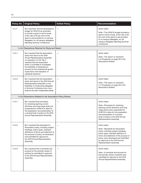| <b>Policy No</b> | <b>Original Policy</b>                                                                                                                                                                                                                                                                                                                           | <b>Edited Policy</b> | Recommendation                                                                                                                                                                                                                                                                |
|------------------|--------------------------------------------------------------------------------------------------------------------------------------------------------------------------------------------------------------------------------------------------------------------------------------------------------------------------------------------------|----------------------|-------------------------------------------------------------------------------------------------------------------------------------------------------------------------------------------------------------------------------------------------------------------------------|
| 1.4.1.7          | Be it resolved, that the Association's<br>budget for 2018/19 be amended<br>to provide a grant-in-aid to locals,<br>at the rate of 50 per cent of the<br>grant-in-aid provided to on-campus<br>delegates, for off-campus delegates<br>attending Summer Conference.                                                                                |                      | Action taken<br>Note-The 2018/19 budget provides a<br>grant-in-aid to locals, at the rate of 50<br>per cent of the grant-in-aid provided<br>to on-campus delegates, for off-<br>campus delegates attending Summer<br>Conference.                                              |
|                  | 1.4.2.0 Resolutions Referred for Study and Report                                                                                                                                                                                                                                                                                                |                      |                                                                                                                                                                                                                                                                               |
| 1.4.2.1          | Be it resolved that the Association<br>study and report to the 2019<br>Annual Representative Assembly<br>on resolution 2-4/18: "Be it<br>resolved that the Association<br>strike a committee to investigate<br>the feasibility of developing a<br>process for the professional growth,<br>supervision and evaluation of<br>substitute teachers." |                      | Action taken<br>Note-The report on resolution<br>2-4/18 appears on page 28 in the<br>Resolutions Bulletin.                                                                                                                                                                    |
| 1.4.2.2          | Be it resolved that the Association<br>study and report to the 2019 Annual<br>Representative Assembly on the<br>feasibility of reimbursing delegates<br>to Summer Conference who incur<br>costs for the care of dependant adults.                                                                                                                |                      | Action taken<br>Note-The report on resolution<br>4-1/18 appears on page 29 in the<br><b>Resolutions Bulletin.</b>                                                                                                                                                             |
|                  |                                                                                                                                                                                                                                                                                                                                                  |                      |                                                                                                                                                                                                                                                                               |
|                  | 1.4.3.0 Resolutions Related to the Association Policy Review                                                                                                                                                                                                                                                                                     |                      |                                                                                                                                                                                                                                                                               |
| 1.4.3.1          | Be it resolved that processes<br>for reviewing expiring current<br>directives and long-range policy be<br>suspended for 2018/19 to allow for<br>the preparation and presentation of<br>a revised body of policy to the 2019<br>Annual Representative Assembly.                                                                                   |                      | Action taken<br>Note-Processes for reviewing<br>expiring current directives and long-<br>range policy were suspended for<br>2018/19 to allow for the preparation<br>and presentation of a revised<br>body of policy to the 2019 Annual<br>Representative Assembly.            |
| 1.4.3.2          | Be it resolved that standards for<br>Association policy, including subject<br>headings, policy types, standard<br>definitions of terms and statement of<br>the purpose of policy, be developed<br>and submitted for approval to<br>the 2019 Annual Representative<br>Assembly.                                                                   |                      | Action taken<br>Note-Standards for Association<br>policy, including subject headings,<br>policy types, standard definition of<br>terms and statement of the purpose of<br>policy, were developed and submitted<br>for approval to the 2019 Annual<br>Representative Assembly. |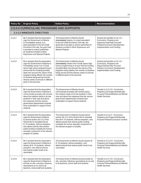| <b>Policy No</b>                          | <b>Original Policy</b>                                                                                                                                                                                                                                                                                                                                                    | <b>Edited Policy</b>                                                                                                                                                                                                                                                                                                          | Recommendation                                                                                                                                               |  |
|-------------------------------------------|---------------------------------------------------------------------------------------------------------------------------------------------------------------------------------------------------------------------------------------------------------------------------------------------------------------------------------------------------------------------------|-------------------------------------------------------------------------------------------------------------------------------------------------------------------------------------------------------------------------------------------------------------------------------------------------------------------------------|--------------------------------------------------------------------------------------------------------------------------------------------------------------|--|
| 2.0.0.0 CURRICULUM, PROGRAMS AND SUPPORTS |                                                                                                                                                                                                                                                                                                                                                                           |                                                                                                                                                                                                                                                                                                                               |                                                                                                                                                              |  |
|                                           | 2.4.0.0 IMMEDIATE DIRECTIVES                                                                                                                                                                                                                                                                                                                                              |                                                                                                                                                                                                                                                                                                                               |                                                                                                                                                              |  |
| 2.4.0.1                                   | Be it resolved that the Association<br>urge the Government of Alberta<br>to immediately restore, to a<br>level equivalent to the full Credit<br>Enrolment Unit rate, the grant that<br>it provides to school authorities<br>for students enrolled in Work<br>Experience and Special Projects.                                                                             | The Government of Alberta should<br>[immediately] restore, to a level equivalent<br>to the full Credit Enrolment Unit rate, the<br>grant that it provides to school authorities for<br>students enrolled in Work Experience and<br>Special Projects.                                                                          | Amend and transfer to 2.2.1.0-<br>Curriculum, Programs and<br>Supports/ Externally Focused<br>Policies/Curriculum Development,<br>Implementation and Funding |  |
| 2.4.0.2                                   | Be it resolved that the Association<br>urge the Government of Alberta to<br>immediately review how it funds<br>senior high school programming to<br>ensure that the funding provided<br>takes into account the nature of the<br>programs being offered, the number<br>of students being served and the<br>diverse needs of schools in different<br>parts of the province. | The Government of Alberta should<br>[immediately] review how it funds senior high<br>school programming to ensure that the funding<br>provided takes into account the nature of the<br>programs being offered, the number of students<br>being served and the diverse needs of schools<br>in different parts of the province. | Amend and transfer to 2.2.1.0-<br>Curriculum, Programs and<br>Supports/Externally Focused<br>Policies/ Curriculum Development,<br>Implementation and Funding |  |
| 2.4.0.3                                   | Be it resolved that the Association<br>urge the Government of Alberta to<br>communicate promptly with schools<br>about the medical needs of at-risk<br>students in their care and about<br>the measures that the various<br>government departments involved<br>have undertaken to support those<br>students.                                                              | The Government of Alberta should<br>communicate promptly with schools about<br>the medical needs of at-risk students in their<br>care and about the measures that the various<br>government departments involved have<br>undertaken to support those students.                                                                | Transfer to 2.2.11.0—Curriculum,<br>Programs and Supports/Externally<br>Focused Policies/Medical and Mental<br><b>Health Services</b>                        |  |
| 2.4.0.4                                   | Be it resolved that the Association<br>urge the Government of Alberta<br>to amend section $50.1(1)$ of the<br>School Act to mandate that all<br>K-12 students, without exception,<br>who attend schools that receive<br>public funding complete the human<br>sexuality component of the relevant<br>program of studies.                                                   | The Government of Alberta should amend<br>section 50.1(1) of the School Act to mandate<br>that all K-12 students, without exception, who<br>attend schools that receive public funding<br>complete the human sexuality component of<br>the relevant program of studies.                                                       | Transfer to 2.2.2.0-Curriculum,<br>Programs and Supports/Externally<br>Focused Policies/Curriculum Content                                                   |  |
| 2.4.0.5                                   | Be it resolved that the Association<br>urge the Government of Alberta to<br>require all K-12 students, without<br>exception, who attend schools<br>that receive public funds to be<br>vaccinated.                                                                                                                                                                         | The Government of Alberta should require all<br>K-12 students, without exception, who<br>attend schools that receive public funds to be<br>vaccinated.                                                                                                                                                                        | Transfer to 2.2.11.0—Curriculum,<br>Programs and Supports/Externally<br>Focused Policies/Medical and Mental<br><b>Health Services</b>                        |  |
| 2.4.0.6                                   | Be it resolved that the Association<br>urge the Government of Alberta to<br>provide on-site, voluntary influenza<br>vaccinations at no cost to all<br>teachers, school staff and students.                                                                                                                                                                                | The Government of Alberta should provide on-<br>site, voluntary influenza vaccinations at no cost<br>to all teachers, school staff and students.                                                                                                                                                                              | Transfer to 2.2.11.0—Curriculum,<br>Programs and Supports/Externally<br>Focused Policies/Medical and Mental<br><b>Health Services</b>                        |  |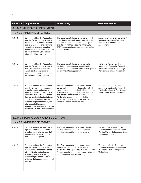| <b>Policy No</b> | <b>Original Policy</b>                                                                                                                                                                                                                                                                                                                                                                                                             | <b>Edited Policy</b>                                                                                                                                                                                                                                                                                                                                                                 | Recommendation                                                                                                                          |
|------------------|------------------------------------------------------------------------------------------------------------------------------------------------------------------------------------------------------------------------------------------------------------------------------------------------------------------------------------------------------------------------------------------------------------------------------------|--------------------------------------------------------------------------------------------------------------------------------------------------------------------------------------------------------------------------------------------------------------------------------------------------------------------------------------------------------------------------------------|-----------------------------------------------------------------------------------------------------------------------------------------|
|                  | 3.0.0.0 STUDENT ASSESSMENT                                                                                                                                                                                                                                                                                                                                                                                                         |                                                                                                                                                                                                                                                                                                                                                                                      |                                                                                                                                         |
|                  | 3.4.0.0 IMMEDIATE DIRECTIVES                                                                                                                                                                                                                                                                                                                                                                                                       |                                                                                                                                                                                                                                                                                                                                                                                      |                                                                                                                                         |
| 3.4.0.1          | Be it resolved that the Association<br>urge the Government of Alberta to<br>assess the costs, in terms of such<br>factors as workload and staff time.<br>for students, teachers, principals<br>and district staff to participate in the<br>2018 International Computer and<br>Information Literacy Study.                                                                                                                          | The Government of Alberta should assess the<br>costs, in terms of such factors as workload and<br>staff time, for students, teachers, principals<br>and district staff to participate in the [2018]<br>2023 International Computer and Information<br>Literacy Study.                                                                                                                | Amend and transfer to new 3.2.8.0-<br>Student Assessment/Externally<br><b>Focused Policies/International</b><br>Assessments             |
| 3.4.0.2          | Be it resolved that the Association<br>urge the Government of Alberta to<br>make available to teachers more<br>sample student responses to<br>performance tasks that are part of<br>the provincial testing program.                                                                                                                                                                                                                | The Government of Alberta should make<br>available to teachers more sample student<br>responses to performance tasks that are part of<br>the provincial testing program.                                                                                                                                                                                                             | Transfer to 3.2.1.0-Student<br>Assessment/Externally Focused<br>Policies/Principles of Test Design,<br>Development and Administration   |
| 3.4.0.3          | Be it resolved that the Association<br>urge the Government of Alberta<br>to require school authorities to<br>report annually on (1) the kinds of<br>mandatory standardized tests that<br>they are administering to students,<br>(2) the number of such tests each<br>student is required to take, (3) the<br>total amount of time needed to<br>administer the tests and (4) the total<br>cost involved in administering the tests. | The Government of Alberta should require<br>school authorities to report annually on (1) the<br>kinds of mandatory standardized tests that they<br>are administering to students, (2) the number<br>of such tests each student is required to take,<br>(3) the total amount of time needed to<br>administer the tests and (4) the total cost<br>involved in administering the tests. | Transfer to 3.2.1.0-Student<br>Assessment/Externally Focused<br>Policies/Principles of Test Design,<br>Development and Administration   |
|                  | <b>4.0.0.0 TECHNOLOGY AND EDUCATION</b>                                                                                                                                                                                                                                                                                                                                                                                            |                                                                                                                                                                                                                                                                                                                                                                                      |                                                                                                                                         |
|                  | 4.4.0.0 IMMEDIATE DIRECTIVES                                                                                                                                                                                                                                                                                                                                                                                                       |                                                                                                                                                                                                                                                                                                                                                                                      |                                                                                                                                         |
| 4.4.0.1          | Be it resolved that the Association<br>urge the Government of Alberta<br>to restore funding for schools that<br>provide distance learning in the<br>public education system.                                                                                                                                                                                                                                                       | The Government of Alberta should restore<br>funding for schools that provide distance<br>learning in the public education system.                                                                                                                                                                                                                                                    | Transfer to 4.2.4.0-Technology<br>and Education/Externally Focused<br>Policies/Online, Distance and Digital<br><b>Learning Programs</b> |
| 4.4.0.2          | Be it resolved that the Association<br>urge the Government of Alberta<br>to consult Alberta teachers on the<br>advisability of maintaining and<br>expanding provincial licensing for<br>common digital technologies and<br>platforms that support teaching and<br>learning.                                                                                                                                                        | The Government of Alberta should consult<br>Alberta teachers on the advisability of<br>maintaining and expanding provincial licensing<br>for common digital technologies and platforms<br>that support teaching and learning.                                                                                                                                                        | Transfer to 4.2.2.0-Technology<br>and Education/Externally Focused<br>Policies/Decision Making About<br>Technology                      |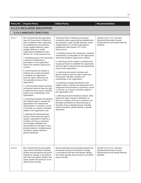| <b>Policy No</b>                   | <b>Original Policy</b>                                                                                                                                                                                                                                                                                                                                                                                                                                                                                                                                                                                                                                                                                                                                                                                                                                                                                                                                                                                                                                                                                                                                                                                                                                                                                                                                                                                  | <b>Edited Policy</b>                                                                                                                                                                                                                                                                                                                                                                                                                                                                                                                                                                                                                                                                                                                                                                                                                                                                                                                                                                                                                                                                                                                                                                                                                                                                                                                 | Recommendation                                                                                                                  |  |
|------------------------------------|---------------------------------------------------------------------------------------------------------------------------------------------------------------------------------------------------------------------------------------------------------------------------------------------------------------------------------------------------------------------------------------------------------------------------------------------------------------------------------------------------------------------------------------------------------------------------------------------------------------------------------------------------------------------------------------------------------------------------------------------------------------------------------------------------------------------------------------------------------------------------------------------------------------------------------------------------------------------------------------------------------------------------------------------------------------------------------------------------------------------------------------------------------------------------------------------------------------------------------------------------------------------------------------------------------------------------------------------------------------------------------------------------------|--------------------------------------------------------------------------------------------------------------------------------------------------------------------------------------------------------------------------------------------------------------------------------------------------------------------------------------------------------------------------------------------------------------------------------------------------------------------------------------------------------------------------------------------------------------------------------------------------------------------------------------------------------------------------------------------------------------------------------------------------------------------------------------------------------------------------------------------------------------------------------------------------------------------------------------------------------------------------------------------------------------------------------------------------------------------------------------------------------------------------------------------------------------------------------------------------------------------------------------------------------------------------------------------------------------------------------------|---------------------------------------------------------------------------------------------------------------------------------|--|
| <b>6.0.0.0 INCLUSIVE EDUCATION</b> |                                                                                                                                                                                                                                                                                                                                                                                                                                                                                                                                                                                                                                                                                                                                                                                                                                                                                                                                                                                                                                                                                                                                                                                                                                                                                                                                                                                                         |                                                                                                                                                                                                                                                                                                                                                                                                                                                                                                                                                                                                                                                                                                                                                                                                                                                                                                                                                                                                                                                                                                                                                                                                                                                                                                                                      |                                                                                                                                 |  |
|                                    | <b>6.4.0.0 IMMEDIATE DIRECTIVES</b>                                                                                                                                                                                                                                                                                                                                                                                                                                                                                                                                                                                                                                                                                                                                                                                                                                                                                                                                                                                                                                                                                                                                                                                                                                                                                                                                                                     |                                                                                                                                                                                                                                                                                                                                                                                                                                                                                                                                                                                                                                                                                                                                                                                                                                                                                                                                                                                                                                                                                                                                                                                                                                                                                                                                      |                                                                                                                                 |  |
| 6.4.0.1                            | Be it resolved that the Association<br>urge the Government of Alberta to<br>issue ministerial orders supporting<br>the establishment and operation<br>of gay-straight alliances, queer-<br>straight alliances or similar<br>organizations established under<br>Section 16.1 of the School Act by<br>1. prohibiting anyone from disclosing<br>a student's membership or<br>participation in the organization<br>without the student's explicit prior<br>consent;<br>2. confirming that the student or<br>students who sought permission<br>to establish the organization<br>have the right to determine the<br>final operational name of that<br>organization;<br>3. confirming that student members<br>and teacher advisors have the right<br>to determine the purpose, activities,<br>projects and undertakings of the<br>organization;<br>4. protecting principals and teachers<br>who helped create or operate the<br>organization from employment<br>discrimination or sanctions, formal<br>or informal, as a result of activities<br>related to the organization; and<br>5. affirming that denominational<br>schools, while having the right to<br>require a declaration of faith as a<br>condition of hiring or enrolment,<br>are thereafter prohibited from<br>discriminating on the basis of any<br>protected ground, including sexual<br>orientation, gender identity or<br>gender expression. | The Government of Alberta should issue<br>ministerial orders supporting the establishment<br>and operation of gay-straight alliances, queer-<br>straight alliances or similar organizations<br>established under Section 16.1 of the<br>School Act by<br>1. prohibiting anyone from disclosing a student's<br>membership or participation in the organization<br>without the student's explicit prior consent;<br>2. confirming that the student or students who<br>sought permission to establish the organization<br>have the right to determine the final operational<br>name of that organization;<br>3. confirming that student members and<br>teacher advisors have the right to determine<br>the purpose, activities, projects and<br>undertakings of the organization;<br>4. protecting principals and teachers who<br>helped create or operate the organization from<br>employment discrimination or sanctions, formal<br>or informal, as a result of activities related to<br>the organization; and<br>5. affirming that denominational schools, while<br>having the right to require a declaration of<br>faith as a condition of hiring or enrolment, are<br>thereafter prohibited from discriminating on<br>the basis of any protected ground, including<br>sexual orientation, gender identity or gender<br>expression. | Transfer to 6.2.15.0-Inclusive<br><b>Education/Externally Focused</b><br>Policies/Sexual and Gender Minority<br><b>Students</b> |  |
| 6.4.0.2                            | Be it resolved that the Association<br>urge school authorities to develop<br>policies and procedures that permit<br>students to change, in accordance<br>with their lived gender identity, their<br>name, gender and pronouns on all<br>official school records.                                                                                                                                                                                                                                                                                                                                                                                                                                                                                                                                                                                                                                                                                                                                                                                                                                                                                                                                                                                                                                                                                                                                        | School authorities should develop policies and<br>procedures that permit students to change,<br>in accordance with their lived gender identity,<br>their name, gender and pronouns on all official<br>school records.                                                                                                                                                                                                                                                                                                                                                                                                                                                                                                                                                                                                                                                                                                                                                                                                                                                                                                                                                                                                                                                                                                                | Transfer to 6.2.15.0-Inclusive<br><b>Education/Externally Focused</b><br>Policies/Sexual and Gender Minority<br><b>Students</b> |  |
|                                    |                                                                                                                                                                                                                                                                                                                                                                                                                                                                                                                                                                                                                                                                                                                                                                                                                                                                                                                                                                                                                                                                                                                                                                                                                                                                                                                                                                                                         |                                                                                                                                                                                                                                                                                                                                                                                                                                                                                                                                                                                                                                                                                                                                                                                                                                                                                                                                                                                                                                                                                                                                                                                                                                                                                                                                      |                                                                                                                                 |  |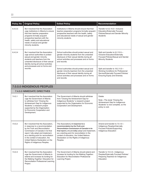| <b>Policy No</b> | <b>Original Policy</b>                                                                                                                                                                                                                                                                                                                    | <b>Edited Policy</b>                                                                                                                                                                                                                                                                                                           | Recommendation                                                                                                                                          |
|------------------|-------------------------------------------------------------------------------------------------------------------------------------------------------------------------------------------------------------------------------------------------------------------------------------------------------------------------------------------|--------------------------------------------------------------------------------------------------------------------------------------------------------------------------------------------------------------------------------------------------------------------------------------------------------------------------------|---------------------------------------------------------------------------------------------------------------------------------------------------------|
| 6.4.0.3          | Be it resolved that the Association<br>urge institutions in Alberta to ensure<br>that their teacher preparation<br>programs formally acquaint<br>prospective teachers with the<br>health, safety and educational<br>needs of sexual and gender<br>minority students.                                                                      | Institutions in Alberta should ensure that their<br>teacher preparation programs formally acquaint<br>prospective teachers with the health, safety<br>and educational needs of sexual and gender<br>minority students.                                                                                                         | Transfer to 6.2.15.0-Inclusive<br><b>Education/Externally Focused</b><br>Policies/Sexual and Gender Minority<br><b>Students</b>                         |
| 6.4.0.4          | Be it resolved that the Association<br>urge school authorities to protect<br>sexual and gender minority<br>students and teachers from the<br>unwanted disclosure of their sexual<br>identity during all school activities                                                                                                                 | School authorities should protect sexual and<br>gender minority students from the unwanted<br>disclosure of their sexual identity during all<br>school activities and processes and on forms<br>and records.                                                                                                                   | Split and transfer to 6.2.15.0-<br>Inclusive Education/Externally<br>Focused Policies/Sexual and Gender<br><b>Minority Students</b>                     |
|                  | and processes and on forms and<br>records.                                                                                                                                                                                                                                                                                                | School authorities should protect sexual and<br>gender minority teachers from the unwanted<br>disclosure of their sexual identity during all<br>school activities and processes and on forms<br>and records.                                                                                                                   | Split and transfer to 19.2.11.0-<br>Working Conditions for Professional<br>Service/Externally Focused Policies/<br><b>Ensuring Equity and Diversity</b> |
|                  | 7.0.0.0 INDIGENOUS PEOPLES                                                                                                                                                                                                                                                                                                                |                                                                                                                                                                                                                                                                                                                                |                                                                                                                                                         |
|                  | 7.4.0.0 IMMEDIATE DIRECTIVES                                                                                                                                                                                                                                                                                                              |                                                                                                                                                                                                                                                                                                                                |                                                                                                                                                         |
| 7.4.0.1          | Be it resolved that the Association<br>urge the Government of Alberta<br>to withdraw from "Closing the<br>Achievement Gap for Indigenous<br>Students," a research project<br>supported by the Organisation<br>for Economic Cooperation and<br>Development.                                                                                | The Government of Alberta should withdraw<br>from "Closing the Achievement Gap for<br>Indigenous Students," a research project<br>supported by the Organisation for Economic<br>Cooperation and Development.                                                                                                                   | Delete<br>Note-The study "Closing the<br>Achievement Gap for Indigenous<br>Students" is now complete, so the<br>policy is void.                         |
| 7.4.0.2          | Be it resolved that the Association,<br>in response to a recommendation<br>by the Truth and Reconciliation<br>Commission of Canada in its final<br>report, fully adopt and implement,<br>as a starting point for reconciliation<br>in the context of education, the<br>United Nations Declaration on the<br>Rights of Indigenous Peoples. | The Association[, in response to a<br>recommendation by the Truth and<br>Reconciliation Commission of Canada in its-<br>final report,] should [fully] adopt and implement,<br>as a starting point for reconciliation in the<br>context of education, the United Nations<br>Declaration on the Rights of Indigenous<br>Peoples. | Amend and transfer to 7.3.1.0-<br>Indigenous Peoples/Internally<br><b>Focused Policies/Supporting</b><br>Indigenous Education                           |
| 7.4.0.3          | Be it resolved that the Association<br>urge the Government of Alberta to<br>extend and increase its funding for<br>the Walking Together: Education for<br>Reconciliation Professional Learning<br>Project.                                                                                                                                | The Government of Alberta should extend and<br>increase its funding for the Walking Together:<br>Education for Reconciliation Professional<br>Learning Project.                                                                                                                                                                | Transfer to 7.2.4.0-Indigenous<br>Peoples/Externally Focused Policies/<br>Preparing Teachers for Indigenous<br>Education                                |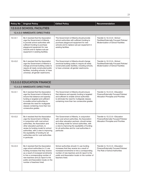| <b>Policy No</b>                     | <b>Original Policy</b>                                                                                                                                                                                                                                                                                                                                           | <b>Edited Policy</b>                                                                                                                                                                                                                                                                                               | Recommendation                                                                                                      |  |  |  |
|--------------------------------------|------------------------------------------------------------------------------------------------------------------------------------------------------------------------------------------------------------------------------------------------------------------------------------------------------------------------------------------------------------------|--------------------------------------------------------------------------------------------------------------------------------------------------------------------------------------------------------------------------------------------------------------------------------------------------------------------|---------------------------------------------------------------------------------------------------------------------|--|--|--|
| 12.0.0.0 SCHOOL FACILITIES           |                                                                                                                                                                                                                                                                                                                                                                  |                                                                                                                                                                                                                                                                                                                    |                                                                                                                     |  |  |  |
| <b>12.4.0.0 IMMEDIATE DIRECTIVES</b> |                                                                                                                                                                                                                                                                                                                                                                  |                                                                                                                                                                                                                                                                                                                    |                                                                                                                     |  |  |  |
| 12.4.0.1                             | Be it resolved that the Association<br>urge the Government of Alberta<br>to provide school authorities with<br>sufficient funding to purchase<br>playground equipment for new<br>schools and to replace sub-par<br>equipment in existing facilities.                                                                                                             | The Government of Alberta should provide<br>school authorities with sufficient funding to<br>purchase playground equipment for new<br>schools and to replace sub-par equipment in<br>existing facilities.                                                                                                          | Transfer to 12.2.3.0-School<br>Facilities/Externally Focused Policies/<br><b>Modernization of School Facilities</b> |  |  |  |
| 12.4.0.2                             | Be it resolved that the Association<br>urge the Government of Alberta to<br>change provincial building codes to<br>require all newly constructed public<br>facilities, including schools, to have<br>universal, all-gender washrooms.                                                                                                                            | The Government of Alberta should change<br>provincial building codes to require all newly<br>constructed public facilities, including schools,<br>to have universal, all-gender washrooms.                                                                                                                         | Transfer to 12.2.3.0-School<br>Facilities/Externally Focused Policies/<br><b>Modernization of School Facilities</b> |  |  |  |
|                                      | <b>13.0.0.0 EDUCATION FINANCE</b>                                                                                                                                                                                                                                                                                                                                |                                                                                                                                                                                                                                                                                                                    |                                                                                                                     |  |  |  |
|                                      | <b>13.4.0.0 IMMEDIATE DIRECTIVES</b>                                                                                                                                                                                                                                                                                                                             |                                                                                                                                                                                                                                                                                                                    |                                                                                                                     |  |  |  |
| 13.4.0.1                             | Be it resolved that the Association<br>urge the Government of Alberta to<br>ensure that distance and sparsity<br>funding is targeted and sufficient<br>to enable school authorities to<br>eliminate the need for multigrade<br>classes containing more than two<br>consecutive grades.                                                                           | The Government of Alberta should ensure<br>that distance and sparsity funding is targeted<br>and sufficient to enable school authorities<br>to eliminate the need for multigrade classes<br>containing more than two consecutive grades.                                                                           | Transfer to 13.2.3.0-Education<br>Finance/Externally Focused Policies/<br>Allocation Principles and Priorities      |  |  |  |
| 13.4.0.2                             | Be it resolved that the Association<br>urge the Government of Alberta,<br>in conjunction with rural school<br>authorities, the Association and<br>other education partners, to<br>review its funding model for school<br>authorities, with a view to improving<br>the equitability of funding for all<br>authorities and for rural authorities<br>in particular. | The Government of Alberta, in conjunction<br>with rural school authorities, the Association<br>and other education partners, should review<br>its funding model for school authorities, with<br>a view to improving the equitability of funding<br>for all authorities and for rural authorities in<br>particular. | Transfer to 13.2.3.0-Education<br>Finance/Externally Focused Policies/<br>Allocation Principles and Priorities      |  |  |  |
| 13.4.0.3                             | Be it resolved that the Association<br>urge school authorities to (1) use<br>funding increases that they receive<br>as a result of increased enrolments<br>to hire a corresponding number of<br>new teachers and (2) report to the<br>public and Association locals on the<br>number of teachers hired.                                                          | School authorities should (1) use funding<br>increases that they receive as a result of<br>increased enrolments to hire a corresponding<br>number of new teachers and (2) report to the<br>public and Association locals on the number of<br>teachers hired.                                                       | Transfer to 13.2.4.0-Education<br>Finance/Externally Focused Policies/<br>The Role of School Authorities            |  |  |  |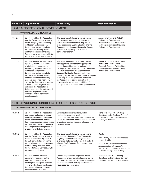| <b>Policy No</b>                                     | <b>Original Policy</b>                                                                                                                                                                                                                                                                                                                                                                                                                                                                                                                                          | <b>Edited Policy</b>                                                                                                                                                                                                                                                                                                                                                                                                                                                                                                          | Recommendation                                                                                                                                                            |  |  |  |
|------------------------------------------------------|-----------------------------------------------------------------------------------------------------------------------------------------------------------------------------------------------------------------------------------------------------------------------------------------------------------------------------------------------------------------------------------------------------------------------------------------------------------------------------------------------------------------------------------------------------------------|-------------------------------------------------------------------------------------------------------------------------------------------------------------------------------------------------------------------------------------------------------------------------------------------------------------------------------------------------------------------------------------------------------------------------------------------------------------------------------------------------------------------------------|---------------------------------------------------------------------------------------------------------------------------------------------------------------------------|--|--|--|
| 17.0.0.0 PROFESSIONAL DEVELOPMENT                    |                                                                                                                                                                                                                                                                                                                                                                                                                                                                                                                                                                 |                                                                                                                                                                                                                                                                                                                                                                                                                                                                                                                               |                                                                                                                                                                           |  |  |  |
| 17.4.0.0 IMMEDIATE DIRECTIVES                        |                                                                                                                                                                                                                                                                                                                                                                                                                                                                                                                                                                 |                                                                                                                                                                                                                                                                                                                                                                                                                                                                                                                               |                                                                                                                                                                           |  |  |  |
| 17.4.0.1                                             | Be it resolved that the Association<br>urge the Government of Alberta to<br>ensure that programs supporting<br>certification and professional<br>development as they pertain to<br>the Leadership Quality Standard<br>and the Superintendent Quality<br>Standard are available equitably to<br>all interested certificated teachers.                                                                                                                                                                                                                            | The Government of Alberta should ensure<br>that programs supporting certification and<br>professional development as they pertain<br>to the Leadership Quality Standard and the<br>Superintendent Leadership Quality Standard<br>are available equitably to all interested<br>certificated teachers.                                                                                                                                                                                                                          | Amend and transfer to 17.2.2.0-<br>Professional Development/<br><b>Externally Focused Policies/Roles</b><br>and Responsibilities in Providing<br>Professional Development |  |  |  |
| 17.4.0.2                                             | Be it resolved that the Association<br>urge the Government of Alberta<br>to refrain from approving and<br>recognizing programs supporting<br>certification and professional<br>development as they pertain to<br>the Leadership Quality Standard<br>and the Superintendent Quality<br>Standard until it has meaningfully<br>involved the Association in helping<br>to develop these programs and<br>authorized the Association to<br>deliver content on the professional<br>roles and responsibilities of<br>principals, system leaders and<br>superintendents. | The Government of Alberta should refrain<br>from approving and recognizing programs<br>supporting certification and professional<br>development as they pertain to the Leadership<br>Quality Standard and the Superintendent<br><b>Leadership</b> Quality Standard until it has<br>meaningfully involved the Association in helping<br>to develop these programs and authorized<br>the Association to deliver content on the<br>professional roles and responsibilities of<br>principals, system leaders and superintendents. | Amend and transfer to 17.2.2.0-<br>Professional Development/<br><b>Externally Focused Policies/Roles</b><br>and Responsibilities in Providing<br>Professional Development |  |  |  |
| 19.0.0.0 WORKING CONDITIONS FOR PROFESSIONAL SERVICE |                                                                                                                                                                                                                                                                                                                                                                                                                                                                                                                                                                 |                                                                                                                                                                                                                                                                                                                                                                                                                                                                                                                               |                                                                                                                                                                           |  |  |  |
|                                                      | 19.4.0.0 IMMEDIATE DIRECTIVES                                                                                                                                                                                                                                                                                                                                                                                                                                                                                                                                   |                                                                                                                                                                                                                                                                                                                                                                                                                                                                                                                               |                                                                                                                                                                           |  |  |  |
| 19.4.0.1                                             | Be it resolved that the Association<br>urge school authorities to ensure<br>that multigrade classrooms taught<br>by one teacher contain no more<br>than two consecutive grades unless<br>the classroom consists of students<br>with exceptional learning needs or<br>is located in a Hutterite school.                                                                                                                                                                                                                                                          | School authorities should ensure that<br>multigrade classrooms taught by one teacher<br>contain no more than two consecutive grades<br>unless the classroom consists of students with<br>exceptional learning needs or is located in a<br>Hutterite school.                                                                                                                                                                                                                                                                   | Transfer to 19.2.10.1—Working<br>Conditions for Professional Service/<br><b>Externally Focused Policies/Staffing</b><br>and Layoff Practices                              |  |  |  |
| 19.4.0.2                                             | Be it resolved that the Association<br>urge the Government of Alberta to<br>extend to teachers living north of<br>the 55th parallel eligibility for the<br>northern living/retention allowance<br>that is currently provided, under<br>the Alberta Public Services Act, to<br>government employees.                                                                                                                                                                                                                                                             | The Government of Alberta should extend<br>to teachers living north of the 55th parallel<br>eligibility for the northern living/retention<br>allowance that is currently provided, under the<br>Alberta Public Services Act, to government<br>employees.                                                                                                                                                                                                                                                                      | <b>Delete</b>                                                                                                                                                             |  |  |  |
|                                                      |                                                                                                                                                                                                                                                                                                                                                                                                                                                                                                                                                                 |                                                                                                                                                                                                                                                                                                                                                                                                                                                                                                                               | Note-Policy 19.2.6.1 encompasses<br>policy 19.4.0.2.                                                                                                                      |  |  |  |
|                                                      |                                                                                                                                                                                                                                                                                                                                                                                                                                                                                                                                                                 |                                                                                                                                                                                                                                                                                                                                                                                                                                                                                                                               | 19.2.6.1 The Government of Alberta<br>should reinstate allowances for<br>teachers living in areas that are remote<br>or that have a high cost of living.                  |  |  |  |
| 19.4.0.3                                             | Be it resolved that collective<br>agreements negotiated by the<br>Association contain clauses<br>ensuring that principals, teachers<br>in colony schools and teachers in<br>distance learning environments<br>have reasonable workdays.                                                                                                                                                                                                                                                                                                                         | Collective agreements negotiated by the<br>Association should contain clauses ensuring<br>that principals, teachers in colony schools and<br>teachers in distance learning environments<br>have reasonable workdays.                                                                                                                                                                                                                                                                                                          | Transfer to 19.3.9.0-Working<br>Conditions for Professional Service/<br>Internally Focused Policies/Workload                                                              |  |  |  |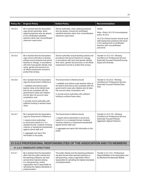| <b>Policy No</b>                                                          | <b>Original Policy</b>                                                                                                                                                                                                                                                                                                                                                       | <b>Edited Policy</b>                                                                                                                                                                                                                                                                                                       | Recommendation                                                                                                                                                                                                                         |  |  |  |
|---------------------------------------------------------------------------|------------------------------------------------------------------------------------------------------------------------------------------------------------------------------------------------------------------------------------------------------------------------------------------------------------------------------------------------------------------------------|----------------------------------------------------------------------------------------------------------------------------------------------------------------------------------------------------------------------------------------------------------------------------------------------------------------------------|----------------------------------------------------------------------------------------------------------------------------------------------------------------------------------------------------------------------------------------|--|--|--|
| 19.4.0.4                                                                  | Be it resolved that the Association<br>urge school authorities, when<br>replacing teachers who are absent,<br>to hire certificated substitute<br>teachers rather than noncertificated<br>classroom supervisors.                                                                                                                                                              | School authorities, when replacing teachers<br>who are absent, should hire certificated<br>substitute teachers rather than noncertificated<br>classroom supervisors.                                                                                                                                                       | Delete<br>Note-Policy 19.2.10.5 encompasses<br>policy 19.4.0.4.<br>19.2.10.5 School boards should avoid<br>staff deployment practices that result<br>in the replacement of certificated<br>teachers with noncertificated<br>personnel. |  |  |  |
| 19.4.0.5                                                                  | Be it resolved that the Association<br>urge school authorities to develop<br>policies and procedures that permit<br>teachers to change, in accordance<br>with their lived gender identity, their<br>name, gender and pronouns on<br>all official employment records to<br>protect their privacy.                                                                             | School authorities should develop policies and<br>procedures that permit teachers to change,<br>in accordance with their lived gender identity,<br>their name, gender and pronouns on all official<br>employment records to protect their privacy.                                                                         | Transfer to 19.2.11.0-Working<br>Conditions for Professional Service/<br><b>Externally Focused Policies/Ensuring</b><br><b>Equity and Diversity</b>                                                                                    |  |  |  |
| 19.4.0.6                                                                  | Be it resolved that the Association<br>urge the Government of Alberta to<br>1. establish and enforce pupil-<br>teacher ratios at the district level<br>that (a) are consistent with the<br>government's class size initiative<br>and (b) take into account class<br>composition; and<br>2. provide school authorities with<br>sufficient funding to achieve these<br>ratios. | The Government of Alberta should<br>1. establish and enforce pupil-teacher ratios at<br>the district level that (a) are consistent with the<br>government's class size initiative and (b) take<br>into account class composition; and<br>2. provide school authorities with sufficient<br>funding to achieve these ratios. | Transfer to 19.2.9.0-Working<br>Conditions for Professional Service/<br><b>Externally Focused Policies/Class</b><br>Size                                                                                                               |  |  |  |
| 19.4.0.7                                                                  | Be it resolved that the Association<br>urge the Government of Alberta to<br>1. require school authorities<br>to record and submit to it, in a<br>standard format, incidents involving<br>violence or harassment perpetrated<br>against school staff; and<br>2. aggregate and report this<br>information to the public.                                                       | The Government of Alberta should<br>1. require school authorities to record and<br>submit to it, in a standard format, incidents<br>involving violence or harassment perpetrated<br>against school staff; and<br>2. aggregate and report this information to the<br>public.                                                | Transfer to 19.2.17.0-Working<br>Conditions for Professional Service/<br><b>Externally Focused Policies/</b><br><b>Aggression Against Teachers</b>                                                                                     |  |  |  |
| 21.0.0.0 PROFESSIONAL RESPONSIBILITIES OF THE ASSOCIATION AND ITS MEMBERS |                                                                                                                                                                                                                                                                                                                                                                              |                                                                                                                                                                                                                                                                                                                            |                                                                                                                                                                                                                                        |  |  |  |
|                                                                           | 21.4.0.0 IMMEDIATE DIRECTIVES                                                                                                                                                                                                                                                                                                                                                |                                                                                                                                                                                                                                                                                                                            |                                                                                                                                                                                                                                        |  |  |  |
| 21.4.0.1                                                                  | Be it resolved that the Association<br>affirm that the public interest and<br>the teaching profession are best<br>served when teachers belong<br>to a self-governing, unitary<br>organization that is responsible for<br>upholding the highest standards of<br>professionalism.                                                                                              | The public interest and the teaching profession<br>are best served when teachers belong to a<br>self-governing, unitary organization that is<br>responsible for upholding the highest standards<br>of professionalism.                                                                                                     | Transfer to 21.1.0.0-Professional<br>Responsibilities of the Association and<br>Its Members/Fundamental Beliefs                                                                                                                        |  |  |  |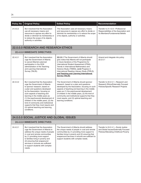| <b>Policy No</b>                          | <b>Original Policy</b>                                                                                                                                                                                                                                                                                                                                                                                                                                           | <b>Edited Policy</b>                                                                                                                                                                                                                                                                                                                                                                                             | Recommendation                                                                                                        |  |  |  |
|-------------------------------------------|------------------------------------------------------------------------------------------------------------------------------------------------------------------------------------------------------------------------------------------------------------------------------------------------------------------------------------------------------------------------------------------------------------------------------------------------------------------|------------------------------------------------------------------------------------------------------------------------------------------------------------------------------------------------------------------------------------------------------------------------------------------------------------------------------------------------------------------------------------------------------------------|-----------------------------------------------------------------------------------------------------------------------|--|--|--|
| 21.4.0.2                                  | Be it resolved that the Association<br>use all necessary means and<br>resources to oppose any effort to<br>divide or diminish its membership or<br>to reduce the scope of its objects,<br>authority or activities.                                                                                                                                                                                                                                               | The Association uses all necessary means<br>and resources to oppose any effort to divide or<br>diminish its membership or to reduce the scope<br>of its objects, authority or activities.                                                                                                                                                                                                                        | Transfer to 21.1.0.0-Professional<br>Responsibilities of the Association and<br>Its Members/Fundamental Beliefs       |  |  |  |
|                                           | 22.0.0.0 RESEARCH AND RESEARCH ETHICS                                                                                                                                                                                                                                                                                                                                                                                                                            |                                                                                                                                                                                                                                                                                                                                                                                                                  |                                                                                                                       |  |  |  |
| 22.4.0.0 IMMEDIATE DIRECTIVES             |                                                                                                                                                                                                                                                                                                                                                                                                                                                                  |                                                                                                                                                                                                                                                                                                                                                                                                                  |                                                                                                                       |  |  |  |
| 22.4.0.1                                  | Be it resolved that the Association<br>urge the Government of Alberta<br>to cancel Alberta's planned<br>participation in the 2018<br>administration of the Teaching<br>and Learning International<br>Survey (TALIS).                                                                                                                                                                                                                                             | 22.2.5.1 The Government of Alberta should<br>give notice that Alberta will not participate<br>in future iterations of the Programme for<br>International Student Assessment (PISA),<br>Trends in International Mathematics and<br>Science Study (TIMSS), [and] Progress in<br>International Reading Literacy Study (PIRLS),<br>and Teaching and Learning International<br><b>Survey (TALIS).</b>                 | Amend and integrate into policy<br>22.2.5.1                                                                           |  |  |  |
| 22.4.0.2                                  | Be it resolved that the Association<br>urge the Government of Alberta<br>to sponsor research, based on<br>a plan and questions developed<br>by the Association, focusing on<br>such aspects of teaching and<br>learning in the middle years as<br>(1) the psychosocial development of<br>children in the middle years, (2) the<br>kind of community and institutional<br>supports that they most require and<br>(3) optimal teaching and learning<br>conditions. | The Government of Alberta should sponsor<br>research, based on a plan and questions<br>developed by the Association, focusing on such<br>aspects of teaching and learning in the middle<br>years as (1) the psychosocial development<br>of children in the middle years, (2) the kind of<br>community and institutional supports that they<br>most require, and (3) optimal teaching and<br>learning conditions. | Transfer to 22.2.5.1-Research and<br>Research Ethics/Externally Focused<br>Policies/Specific Research Projects        |  |  |  |
| 24.0.0.0 SOCIAL JUSTICE AND GLOBAL ISSUES |                                                                                                                                                                                                                                                                                                                                                                                                                                                                  |                                                                                                                                                                                                                                                                                                                                                                                                                  |                                                                                                                       |  |  |  |
|                                           | 24.4.0.0 IMMEDIATE DIRECTIVES                                                                                                                                                                                                                                                                                                                                                                                                                                    |                                                                                                                                                                                                                                                                                                                                                                                                                  |                                                                                                                       |  |  |  |
| 24.4.0.1                                  | Be it resolved that the Association<br>urge the Government of Alberta to<br>address the unique needs of people<br>in rural and remote communities<br>by (1) providing more support<br>to families living in poverty and<br>(2) ensuring that wraparound<br>services in schools are sufficient<br>to support students with complex<br>needs.                                                                                                                      | The Government of Alberta should address<br>the unique needs of people in rural and remote<br>communities by (1) providing more support to<br>families living in poverty and (2) ensuring that<br>wraparound services in schools are sufficient to<br>support students with complex needs.                                                                                                                       | Transfer to 24.2.4.1-Social Justice<br>and Global Issues/Externally Focused<br>Policies/Alleviating Childhood Poverty |  |  |  |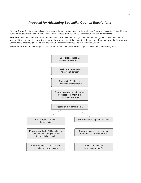# *Proposal for Advancing Specialist Council Resolutions*

**Current State:** Specialist councils can advance resolutions through locals or through their Provincial Executive Council liaison. Forms in the *Specialist Council Handbook* contain the resolution as well as a declaration that can be forwarded.

**Problem:** Specialist councils represent members on a provincial, not local, level and do not always have close links to their local, making it potentially confusing regarding how to proceed. If the resolutions do not come through a local, the Resolutions Committee is unable to gather input on the resolutions from committee and staff to advise Council.

**Possible Solution:** Create a single, easy-to-follow process that describes the steps that specialist councils may take.

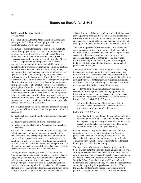#### **2-4/18 (Administrative Directive)** Greater Peace

BE IT RESOLVED, that the Alberta Teachers' Association investigate the feasibility of developing a mechanism for substitute teacher growth and supervision.

The nature of substitute teaching is such that the substitute teacher is employed on a casual basis without benefit of an employment contract. The provincial Teacher Growth, Supervision and Evaluation Policy directs how growth, supervision and evaluation are to be implemented in Alberta schools. The provincial policy specifies that a teacher employed by a school authority or early childhood services operator under a probationary contract or continuing contract, or under other provisions of the *School Act* if required by the policy of the school authority or early childhood services operator, is responsible for completing an annual teacher professional growth plan during each school year. Thus, there is currently a mechanism in place for the completion of growth plans for substitute teachers, if the school authority includes in its policy an expectation that substitute teachers complete growth plans. Currently, no school authorities in the province mandate such a practice. Such a policy would require every substitute teacher to have a key contact to whom they would submit a growth plan and with whom they would meet to discuss their growth plan. The Association currently has policy in place that promotes providing substitute teachers with a key contact. Policy 8.A.31/19.2.13.8 states

School authorities should invite substitute teachers working in the system to affiliate themselves with a specific school for the purposes of

- 1. participating in school-based professional development activities,
- 2. receiving an evaluation of their performance and
- 3. receiving materials from the Association and the school authority.

If a provision, such as that outlined in the above policy, were to be implemented across the province, it could facilitate the development and sharing of growth plans by substitute teachers. Some consideration would need to be given to the question of whether a practice of identifying one individual to whom individual substitute teachers would report would be effective or practically meaningful, given that some substitute teachers work in more than one school authority.

Nothing in provincial policy prevents school authorities from implementing practices that invite substitute teachers to engage in growth planning, nor does anything in provincial policy prevent substitute teachers from developing their own growth goals. It may not be in the substitute teacher's best interests to have a policy that mandates specific growth planning protocols. Substitute teacher assignments vary across a large number of subject curricula and a wide variety of

schools. It may be difficult to implement meaningful universal growth planning practices that are relevant and compelling for substitute teachers. It would not be to the substitute teacher's advantage to have protocols implemented that require them to develop growth plans for an arbitrary administrative purpose.

This does not prevent a substitute teacher from developing growth processes of their own volition, which may include the use of tools that are available from their own professional Association. Further, a substitute teacher may wish to approach an administrator of their choosing and request that the principal provide feedback, guidance and support to the substitute teacher who has developed an individual professional growth plan.

There may be some value in developing Association policy that encourages school authorities to have principals meet with a substitute teacher when such a request is received by the principal. Such a policy could mirror provincial policy that is currently in place for teachers who request an evaluation, which states that the principal may conduct an evaluation of a teacher upon the written request of the teacher.

A corollary to developing individual growth plans is the necessity to provide professional learning opportunities for substitute teachers. Currently, Association policy exists regarding the importance of supporting teacher professional learning. Policy 16.B.8/19.2.13.7, states

All school authorities should ensure that substitute teachers have equitable access to technology and to professional development related to its use.

#### Policy 3.B.1/17.2.2.7, states

School authorities should fund, deliver and pay substitute teachers (at the daily rate) to attend voluntary professional development programs designed to familiarize them with recent curriculum changes, new educational technology and current trends in teaching and learning.

Further, the opportunity to attend teachers' convention at no cost now exists for all substitute teachers. Access to professional development funding for substitute teachers is also available in some school authorities and some locals. The Association should continue to promote the latter practice in policy and in collective bargaining.

The supervision of substitute teachers is equally complex. Some teachers enter the substitute teaching ranks after serving as long-term contract teachers. Other substitute teachers are new to the profession. The need for feedback and supervision of substitute teachers will thus be differentiated. Section 20 of the *School Act* and the provincial Teacher Growth, Supervision and Evaluation Policy prescribe the mandates that are in place regarding the supervision of teachers. Whereas the mandate for teachers to engage in developing growth plans is contingent on their contract status, the requirement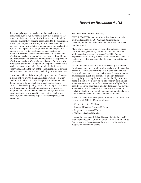that principals supervise teachers applies to all teachers. Thus, there is, in fact, a mechanism currently in place for the provision of the supervision of substitute teachers. Should a substitute teacher have specific needs related to the supervision of their practice, such as wanting to receive feedback, their approach would mirror that of a regular classroom teacher, that is, to make a request, in writing if desired, that the principal engage in a form of targeted supervision of the teacher's practice. Because of the differentiated needs of teachers and of substitute teachers in particular, it may not be desirable for any further mandated practices with respect to the supervision of substitute teachers. Currently, there is room for the exercise of reasoned professional judgment on the part of the substitute teacher, as to when and what they require in the form of supervision, and on the part of the school principal, as to when and how they supervise teachers, including substitute teachers.

In summary, Alberta Education policy provides clear direction in terms of how growth planning and supervision of teachers shall occur in Alberta schools. The policy is facilitative rather than directive in terms of substitute teachers. Mechanisms such as collective bargaining, Association policy and teacher– board liaison committees should continue to advocate for the provincial policy to be implemented in ways that foster substitute teacher growth and the supervision of substitute teachers, while maintaining respect for teacher professional autonomy.

# *Report on Resolution 4-1/18*

#### **4-1/18 (Administrative Directive)**

BE IT RESOLVED, that the Alberta Teachers' Association study and report to the 2019 Annual Representative Assembly on the need to include adult dependant care cost reimbursement.

Many of our members are now facing the realities of being the "sandwich generation," for which both child care and adult dependant care may be issues. The 2018 Annual Representative Assembly directed the Association to report on the feasibility of subsidizing adult dependant care at Summer Conference.

As with the new Association child care subsidy at Summer Conference, a member would be able to claim adult dependant care only if they were incurring costs over and above what they would have already been paying were they not attending an Association event. For example, if an adult dependant was regularly receiving full-time care in a facility or in their home, a member would not be out of pocket by attending an Association event and, therefore, would not be eligible for a subsidy. If, on the other hand, an adult dependant was staying at the residence of a member and the member was out of pocket for daytime or overnight care due to their attendance at the Association event, this cost would be claimable.

Nurse Next Door is an example of in-home, on-call elder care. Its rates as of 2018 10 03 are as follows:

- Companionship—\$34/hour
- Licensed Practical Nurse—\$50/hour
- Registered Nurse—\$65/hour
- Wellness check—\$100/visit

It would be recommended that this type of claim be payable with original receipts. Given the criteria, there would likely be few claims, and the costs could be absorbed within existing budgets for Association events.